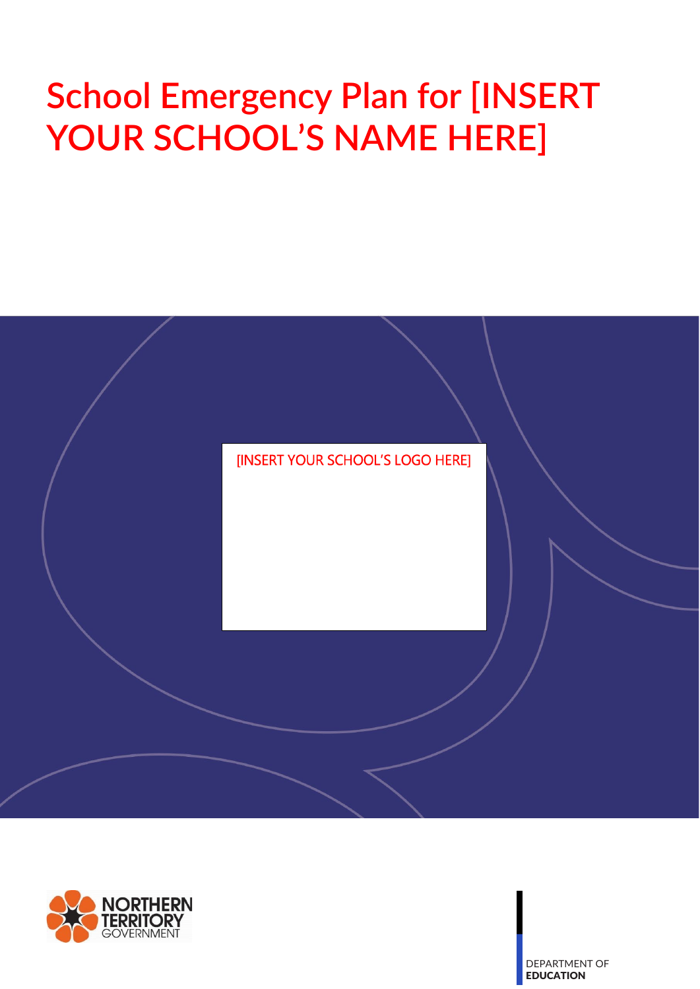# **School Emergency Plan for [INSERT YOUR SCHOOL'S NAME HERE]**





DEPARTMENT OF EDUCATION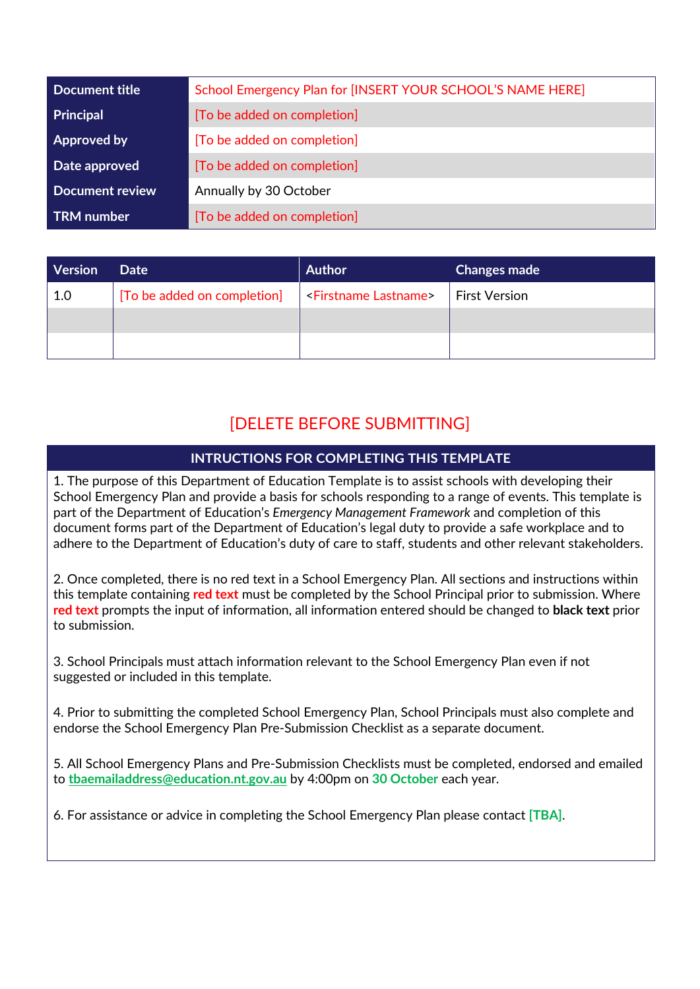| Document title         | School Emergency Plan for [INSERT YOUR SCHOOL'S NAME HERE] |
|------------------------|------------------------------------------------------------|
| Principal              | [To be added on completion]                                |
| <b>Approved by</b>     | [To be added on completion]                                |
| Date approved          | [To be added on completion]                                |
| <b>Document review</b> | Annually by 30 October                                     |
| <b>TRM</b> number      | [To be added on completion]                                |

| <b>Version</b> | Date                        | <b>Author</b>                                | <b>Changes made</b> |
|----------------|-----------------------------|----------------------------------------------|---------------------|
| 1.0            | [To be added on completion] | Selingte Settiname   <firstname></firstname> | ∣ First Version     |
|                |                             |                                              |                     |
|                |                             |                                              |                     |

#### [DELETE BEFORE SUBMITTING]

#### **INTRUCTIONS FOR COMPLETING THIS TEMPLATE**

1. The purpose of this Department of Education Template is to assist schools with developing their School Emergency Plan and provide a basis for schools responding to a range of events. This template is part of the Department of Education's *Emergency Management Framework* and completion of this document forms part of the Department of Education's legal duty to provide a safe workplace and to adhere to the Department of Education's duty of care to staff, students and other relevant stakeholders.

2. Once completed, there is no red text in a School Emergency Plan. All sections and instructions within this template containing **red text** must be completed by the School Principal prior to submission. Where **red text** prompts the input of information, all information entered should be changed to **black text** prior to submission.

3. School Principals must attach information relevant to the School Emergency Plan even if not suggested or included in this template.

4. Prior to submitting the completed School Emergency Plan, School Principals must also complete and endorse the School Emergency Plan Pre-Submission Checklist as a separate document.

5. All School Emergency Plans and Pre-Submission Checklists must be completed, endorsed and emailed to **[tbaemailaddress@education.nt.gov.au](mailto:tbaemailaddress@education.nt.gov.au)** by 4:00pm on **30 October** each year.

6. For assistance or advice in completing the School Emergency Plan please contact **[TBA]**.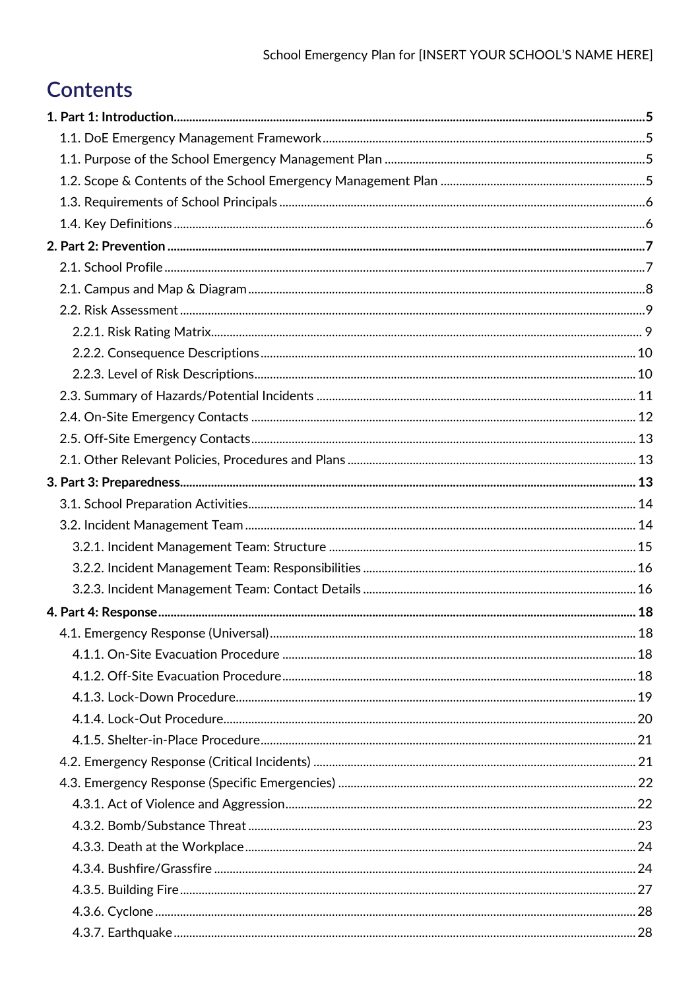# **Contents**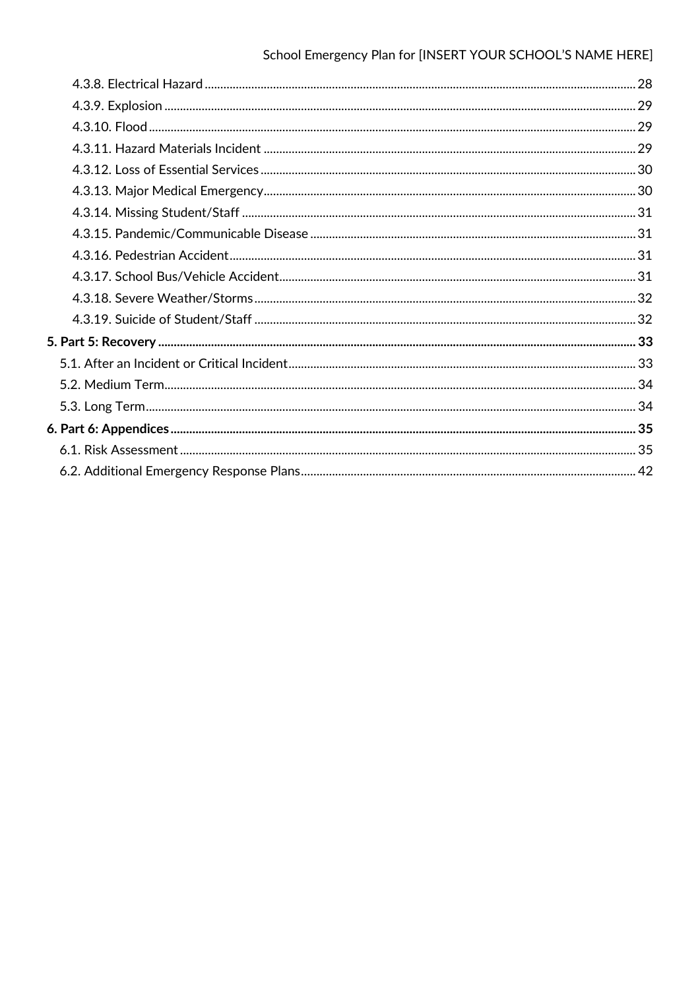### School Emergency Plan for [INSERT YOUR SCHOOL'S NAME HERE]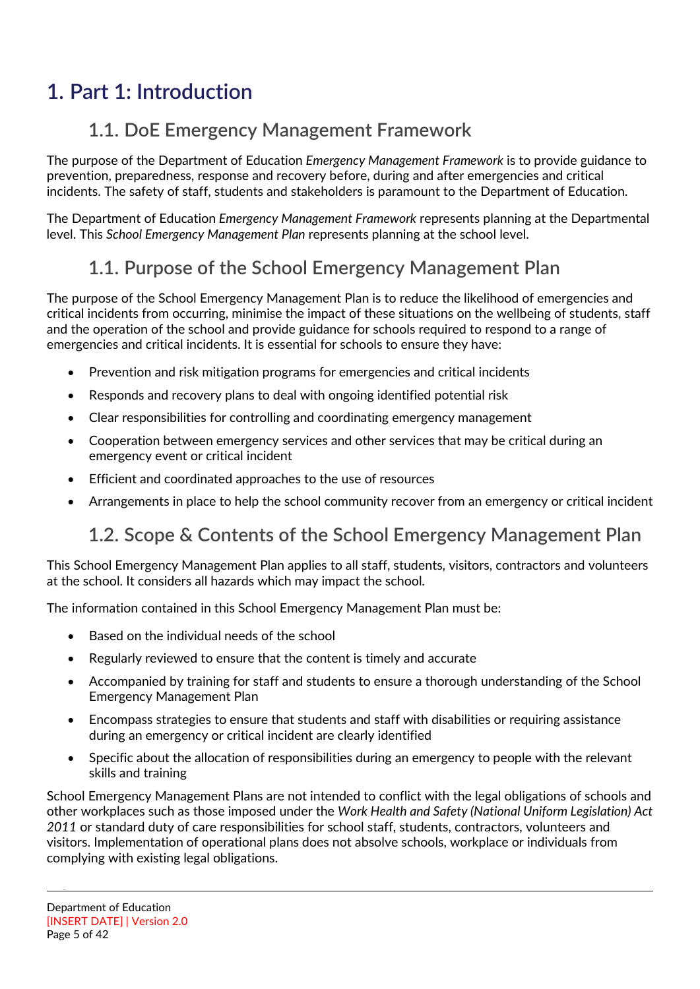# <span id="page-4-0"></span>**1. Part 1: Introduction**

# **1.1. DoE Emergency Management Framework**

<span id="page-4-1"></span>The purpose of the Department of Education *Emergency Management Framework* is to provide guidance to prevention, preparedness, response and recovery before, during and after emergencies and critical incidents. The safety of staff, students and stakeholders is paramount to the Department of Education.

The Department of Education *Emergency Management Framework* represents planning at the Departmental level. This *School Emergency Management Plan* represents planning at the school level.

## **1.1. Purpose of the School Emergency Management Plan**

<span id="page-4-2"></span>The purpose of the School Emergency Management Plan is to reduce the likelihood of emergencies and critical incidents from occurring, minimise the impact of these situations on the wellbeing of students, staff and the operation of the school and provide guidance for schools required to respond to a range of emergencies and critical incidents. It is essential for schools to ensure they have:

- Prevention and risk mitigation programs for emergencies and critical incidents
- Responds and recovery plans to deal with ongoing identified potential risk
- Clear responsibilities for controlling and coordinating emergency management
- Cooperation between emergency services and other services that may be critical during an emergency event or critical incident
- Efficient and coordinated approaches to the use of resources
- <span id="page-4-3"></span>• Arrangements in place to help the school community recover from an emergency or critical incident

## **1.2. Scope & Contents of the School Emergency Management Plan**

This School Emergency Management Plan applies to all staff, students, visitors, contractors and volunteers at the school. It considers all hazards which may impact the school.

The information contained in this School Emergency Management Plan must be:

- Based on the individual needs of the school
- Regularly reviewed to ensure that the content is timely and accurate
- Accompanied by training for staff and students to ensure a thorough understanding of the School Emergency Management Plan
- Encompass strategies to ensure that students and staff with disabilities or requiring assistance during an emergency or critical incident are clearly identified
- Specific about the allocation of responsibilities during an emergency to people with the relevant skills and training

School Emergency Management Plans are not intended to conflict with the legal obligations of schools and other workplaces such as those imposed under the *Work Health and Safety (National Uniform Legislation) Act 2011* or standard duty of care responsibilities for school staff, students, contractors, volunteers and visitors. Implementation of operational plans does not absolve schools, workplace or individuals from complying with existing legal obligations.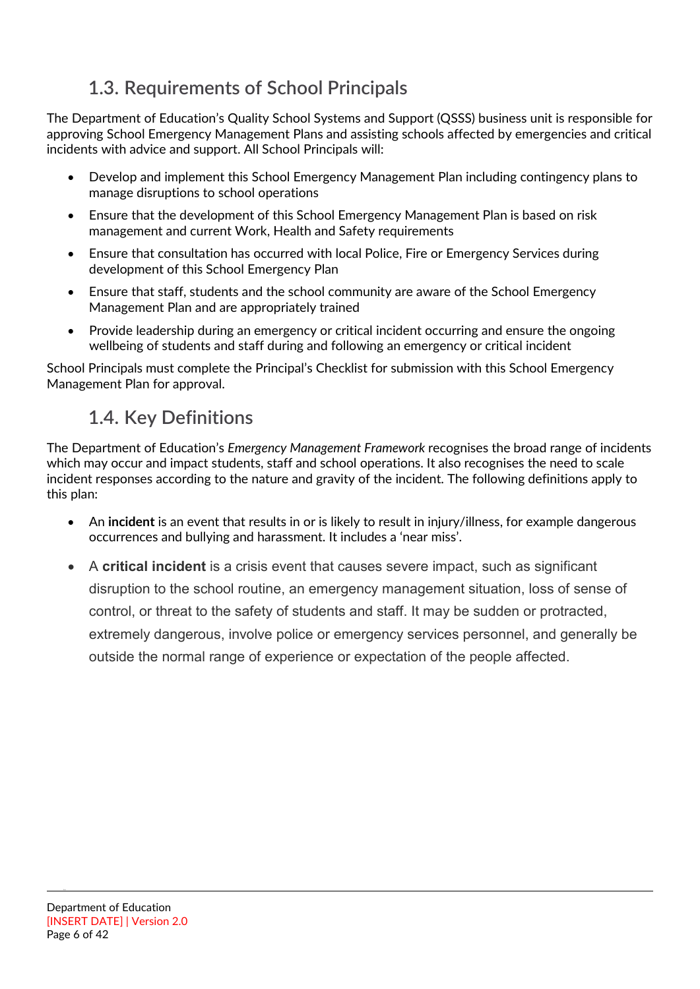# **1.3. Requirements of School Principals**

<span id="page-5-0"></span>The Department of Education's Quality School Systems and Support (QSSS) business unit is responsible for approving School Emergency Management Plans and assisting schools affected by emergencies and critical incidents with advice and support. All School Principals will:

- Develop and implement this School Emergency Management Plan including contingency plans to manage disruptions to school operations
- Ensure that the development of this School Emergency Management Plan is based on risk management and current Work, Health and Safety requirements
- Ensure that consultation has occurred with local Police, Fire or Emergency Services during development of this School Emergency Plan
- Ensure that staff, students and the school community are aware of the School Emergency Management Plan and are appropriately trained
- Provide leadership during an emergency or critical incident occurring and ensure the ongoing wellbeing of students and staff during and following an emergency or critical incident

School Principals must complete the Principal's Checklist for submission with this School Emergency Management Plan for approval.

# **1.4. Key Definitions**

<span id="page-5-1"></span>The Department of Education's *Emergency Management Framework* recognises the broad range of incidents which may occur and impact students, staff and school operations. It also recognises the need to scale incident responses according to the nature and gravity of the incident. The following definitions apply to this plan:

- An **incident** is an event that results in or is likely to result in injury/illness, for example dangerous occurrences and bullying and harassment. It includes a 'near miss'.
- A **critical incident** is a crisis event that causes severe impact, such as significant disruption to the school routine, an emergency management situation, loss of sense of control, or threat to the safety of students and staff. It may be sudden or protracted, extremely dangerous, involve police or emergency services personnel, and generally be outside the normal range of experience or expectation of the people affected.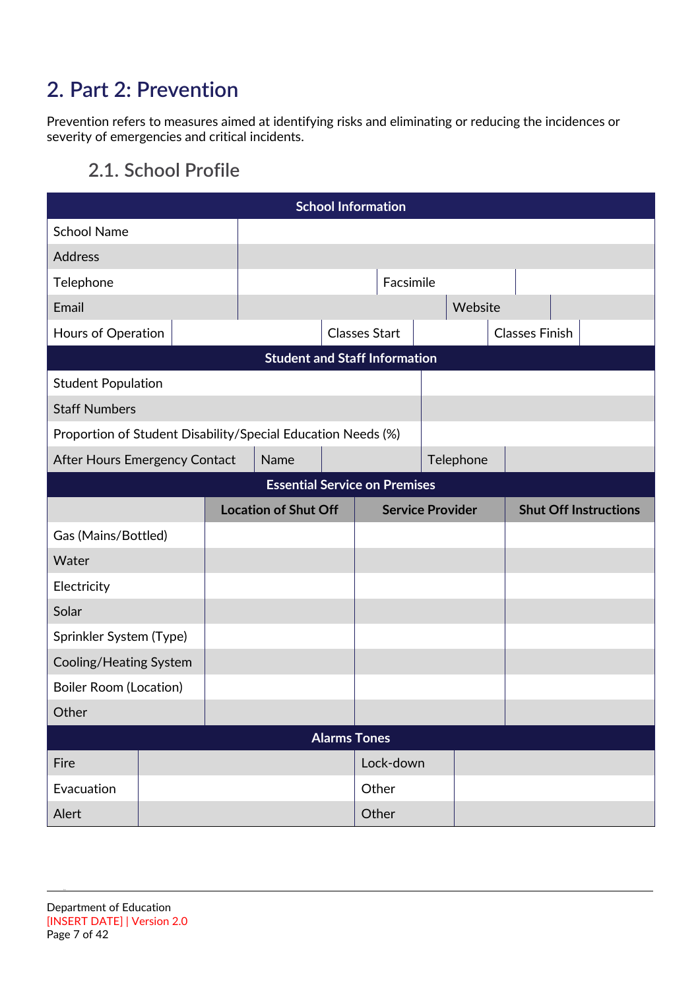# <span id="page-6-0"></span>**2. Part 2: Prevention**

Prevention refers to measures aimed at identifying risks and eliminating or reducing the incidences or severity of emergencies and critical incidents.

### **2.1. School Profile**

<span id="page-6-1"></span>

| <b>School Information</b>                                    |                                      |  |                             |  |                                      |  |           |                       |                              |
|--------------------------------------------------------------|--------------------------------------|--|-----------------------------|--|--------------------------------------|--|-----------|-----------------------|------------------------------|
| <b>School Name</b>                                           |                                      |  |                             |  |                                      |  |           |                       |                              |
| <b>Address</b>                                               |                                      |  |                             |  |                                      |  |           |                       |                              |
| Telephone                                                    |                                      |  |                             |  | Facsimile                            |  |           |                       |                              |
| Email                                                        |                                      |  |                             |  |                                      |  | Website   |                       |                              |
| Hours of Operation                                           |                                      |  |                             |  | <b>Classes Start</b>                 |  |           | <b>Classes Finish</b> |                              |
|                                                              |                                      |  |                             |  | <b>Student and Staff Information</b> |  |           |                       |                              |
| <b>Student Population</b>                                    |                                      |  |                             |  |                                      |  |           |                       |                              |
| <b>Staff Numbers</b>                                         |                                      |  |                             |  |                                      |  |           |                       |                              |
| Proportion of Student Disability/Special Education Needs (%) |                                      |  |                             |  |                                      |  |           |                       |                              |
| After Hours Emergency Contact                                |                                      |  | Name                        |  |                                      |  | Telephone |                       |                              |
|                                                              | <b>Essential Service on Premises</b> |  |                             |  |                                      |  |           |                       |                              |
|                                                              |                                      |  | <b>Location of Shut Off</b> |  | <b>Service Provider</b>              |  |           |                       | <b>Shut Off Instructions</b> |
| Gas (Mains/Bottled)                                          |                                      |  |                             |  |                                      |  |           |                       |                              |
| Water                                                        |                                      |  |                             |  |                                      |  |           |                       |                              |
| Electricity                                                  |                                      |  |                             |  |                                      |  |           |                       |                              |
| Solar                                                        |                                      |  |                             |  |                                      |  |           |                       |                              |
| Sprinkler System (Type)                                      |                                      |  |                             |  |                                      |  |           |                       |                              |
| Cooling/Heating System                                       |                                      |  |                             |  |                                      |  |           |                       |                              |
| <b>Boiler Room (Location)</b>                                |                                      |  |                             |  |                                      |  |           |                       |                              |
| Other                                                        |                                      |  |                             |  |                                      |  |           |                       |                              |
|                                                              |                                      |  |                             |  | <b>Alarms Tones</b>                  |  |           |                       |                              |
| Fire                                                         |                                      |  |                             |  | Lock-down                            |  |           |                       |                              |
| Evacuation                                                   |                                      |  |                             |  | Other                                |  |           |                       |                              |
| Alert                                                        |                                      |  |                             |  | Other                                |  |           |                       |                              |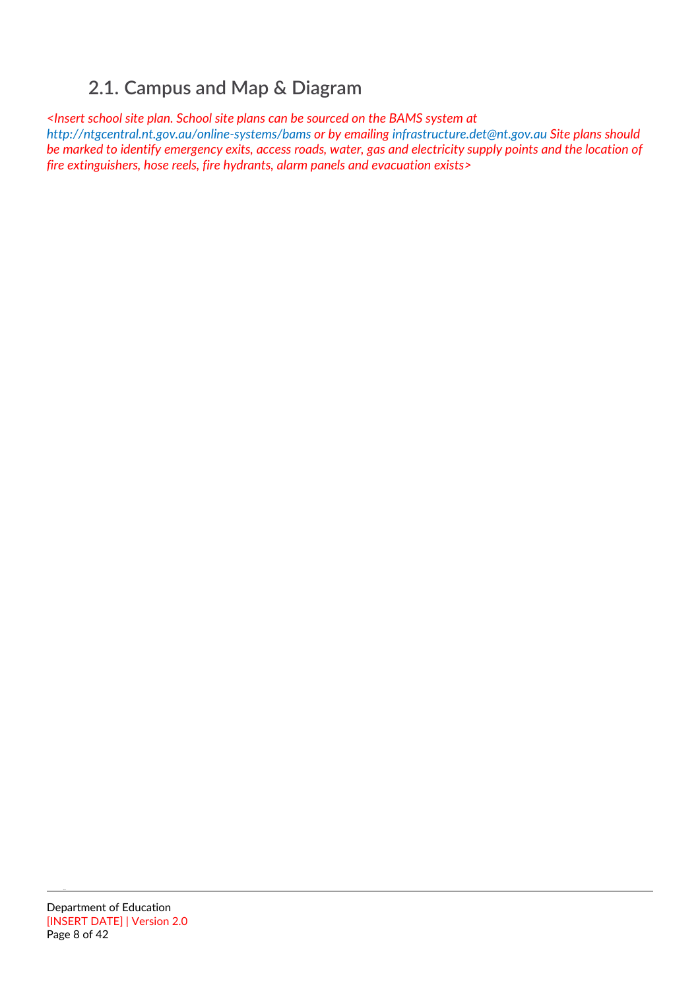# **2.1. Campus and Map & Diagram**

<span id="page-7-0"></span>*<Insert school site plan. School site plans can be sourced on the BAMS system at <http://ntgcentral.nt.gov.au/online-systems/bams> or by emailing [infrastructure.det@nt.gov.au](mailto:infrastructure.det@nt.gov.au) Site plans should* 

*be marked to identify emergency exits, access roads, water, gas and electricity supply points and the location of fire extinguishers, hose reels, fire hydrants, alarm panels and evacuation exists>*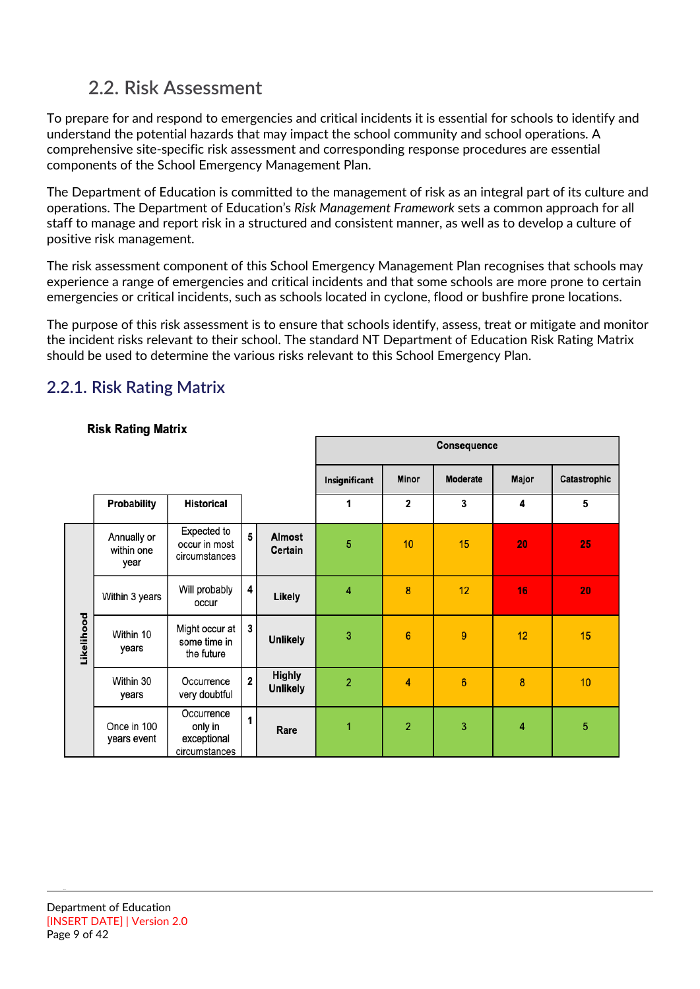# **2.2. Risk Assessment**

<span id="page-8-0"></span>To prepare for and respond to emergencies and critical incidents it is essential for schools to identify and understand the potential hazards that may impact the school community and school operations. A comprehensive site-specific risk assessment and corresponding response procedures are essential components of the School Emergency Management Plan.

The Department of Education is committed to the management of risk as an integral part of its culture and operations. The Department of Education's *Risk Management Framework* sets a common approach for all staff to manage and report risk in a structured and consistent manner, as well as to develop a culture of positive risk management.

The risk assessment component of this School Emergency Management Plan recognises that schools may experience a range of emergencies and critical incidents and that some schools are more prone to certain emergencies or critical incidents, such as schools located in cyclone, flood or bushfire prone locations.

The purpose of this risk assessment is to ensure that schools identify, assess, treat or mitigate and monitor the incident risks relevant to their school. The standard NT Department of Education Risk Rating Matrix should be used to determine the various risks relevant to this School Emergency Plan.

#### <span id="page-8-1"></span>**2.2.1. Risk Rating Matrix**

|            |                                   |                                                       |                         |                                  | <b>Consequence</b> |                 |                 |       |              |
|------------|-----------------------------------|-------------------------------------------------------|-------------------------|----------------------------------|--------------------|-----------------|-----------------|-------|--------------|
|            |                                   |                                                       |                         |                                  | Insignificant      | <b>Minor</b>    | <b>Moderate</b> | Major | Catastrophic |
|            | Probability                       | <b>Historical</b>                                     |                         |                                  | 1                  | 2               | 3               | 4     | 5            |
|            | Annually or<br>within one<br>year | Expected to<br>occur in most<br>circumstances         | 5 <sup>1</sup>          | Almost<br>Certain                | 5                  | 10              | 15              | 20    | 25           |
|            | Within 3 years                    | Will probably<br>occur                                | $\overline{\mathbf{4}}$ | Likely                           | 4                  | 8               | 12              | 16    | 20           |
| Likelihood | Within 10<br>years                | Might occur at<br>some time in<br>the future          | $\mathbf{3}$            | <b>Unlikely</b>                  | 3                  | $6\phantom{1}6$ | 9               | 12    | 15           |
|            | Within 30<br>years                | Occurrence<br>very doubtful                           | $\overline{\mathbf{2}}$ | <b>Highly</b><br><b>Unlikely</b> | $\overline{2}$     | 4               | $6\phantom{1}$  | 8     | 10           |
|            | Once in 100<br>years event        | Occurrence<br>only in<br>exceptional<br>circumstances | 1                       | Rare                             | 1                  | $\overline{2}$  | 3               | 4     | 5            |

#### **Risk Rating Matrix**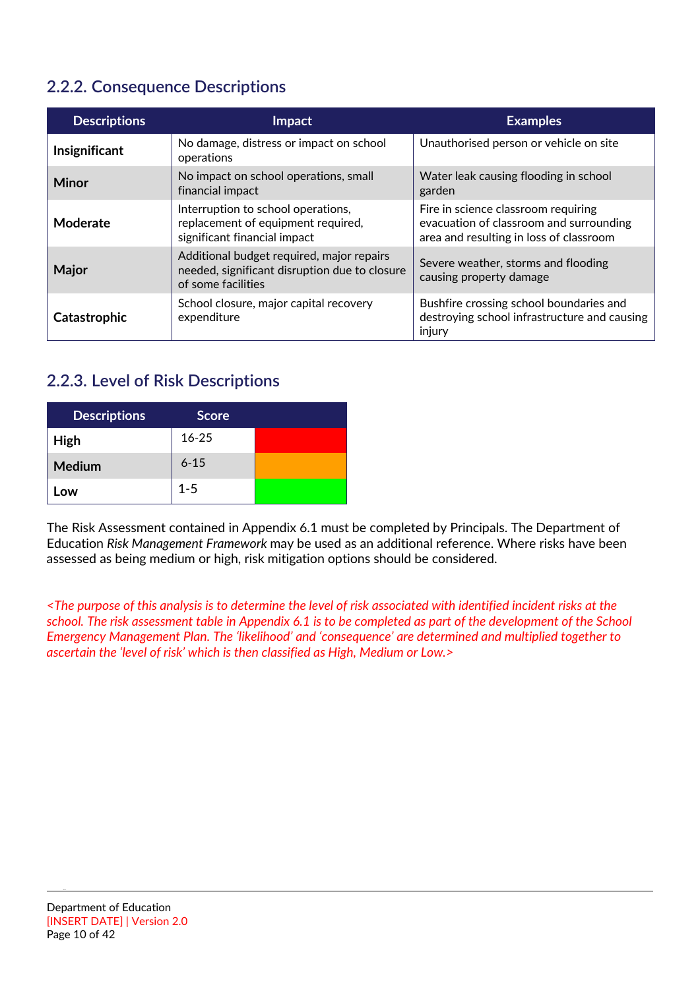#### <span id="page-9-0"></span>**2.2.2. Consequence Descriptions**

| <b>Descriptions</b> | Impact                                                                                                           | <b>Examples</b>                                                                                                           |
|---------------------|------------------------------------------------------------------------------------------------------------------|---------------------------------------------------------------------------------------------------------------------------|
| Insignificant       | No damage, distress or impact on school<br>operations                                                            | Unauthorised person or vehicle on site                                                                                    |
| Minor               | No impact on school operations, small<br>financial impact                                                        | Water leak causing flooding in school<br>garden                                                                           |
| Moderate            | Interruption to school operations,<br>replacement of equipment required,<br>significant financial impact         | Fire in science classroom requiring<br>evacuation of classroom and surrounding<br>area and resulting in loss of classroom |
| Major               | Additional budget required, major repairs<br>needed, significant disruption due to closure<br>of some facilities | Severe weather, storms and flooding<br>causing property damage                                                            |
| Catastrophic        | School closure, major capital recovery<br>expenditure                                                            | Bushfire crossing school boundaries and<br>destroying school infrastructure and causing<br>injury                         |

#### <span id="page-9-1"></span>**2.2.3. Level of Risk Descriptions**

| <b>Descriptions</b> | <b>Score</b> |  |
|---------------------|--------------|--|
| High                | $16 - 25$    |  |
| <b>Medium</b>       | $6 - 15$     |  |
| .ow                 | $1 - 5$      |  |

The Risk Assessment contained in Appendix 6.1 must be completed by Principals. The Department of Education *Risk Management Framework* may be used as an additional reference. Where risks have been assessed as being medium or high, risk mitigation options should be considered.

*<The purpose of this analysis is to determine the level of risk associated with identified incident risks at the school. The risk assessment table in Appendix 6.1 is to be completed as part of the development of the School Emergency Management Plan. The 'likelihood' and 'consequence' are determined and multiplied together to ascertain the 'level of risk' which is then classified as High, Medium or Low.>*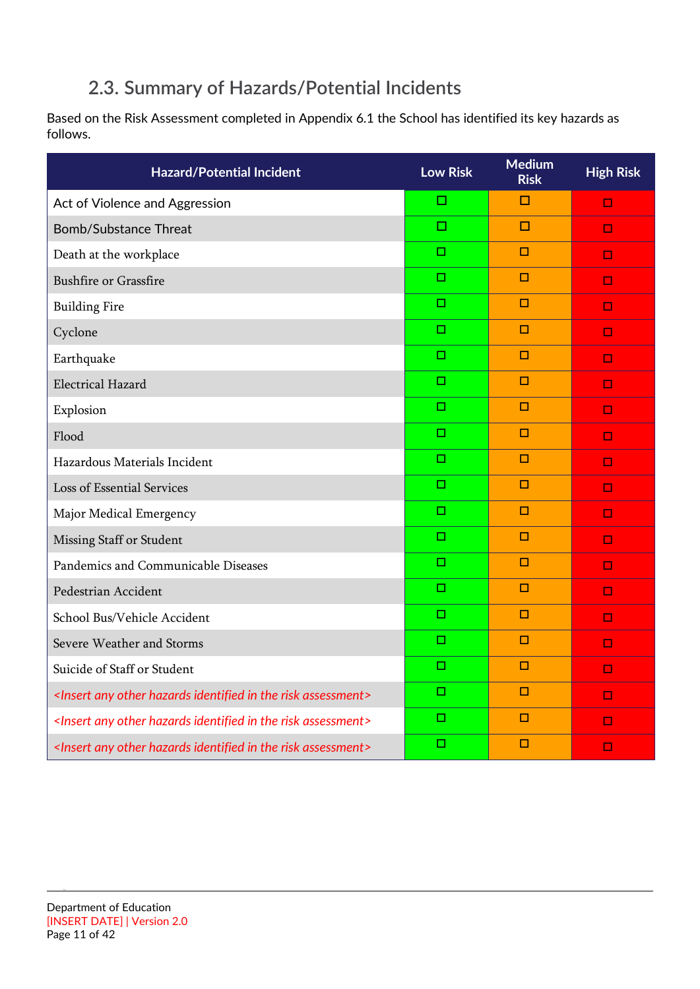# **2.3. Summary of Hazards/Potential Incidents**

<span id="page-10-0"></span>Based on the Risk Assessment completed in Appendix 6.1 the School has identified its key hazards as follows.

| <b>Hazard/Potential Incident</b>                                                              | <b>Low Risk</b> | <b>Medium</b><br><b>Risk</b> | <b>High Risk</b> |
|-----------------------------------------------------------------------------------------------|-----------------|------------------------------|------------------|
| Act of Violence and Aggression                                                                | □               | □                            | $\Box$           |
| <b>Bomb/Substance Threat</b>                                                                  | □               | □                            | $\Box$           |
| Death at the workplace                                                                        | $\Box$          | □                            | $\Box$           |
| <b>Bushfire or Grassfire</b>                                                                  | ▫               | $\Box$                       | $\Box$           |
| <b>Building Fire</b>                                                                          | $\Box$          | $\Box$                       | $\Box$           |
| Cyclone                                                                                       | □               | □                            | $\Box$           |
| Earthquake                                                                                    | $\Box$          | □                            | $\Box$           |
| <b>Electrical Hazard</b>                                                                      | о               | $\Box$                       | $\Box$           |
| Explosion                                                                                     | □               | □                            | $\Box$           |
| Flood                                                                                         | $\Box$          | □                            | □                |
| Hazardous Materials Incident                                                                  | ▫               | $\Box$                       | $\Box$           |
| <b>Loss of Essential Services</b>                                                             | $\Box$          | □                            | $\Box$           |
| Major Medical Emergency                                                                       | ▫               | □                            | $\Box$           |
| <b>Missing Staff or Student</b>                                                               | $\Box$          | ▫                            | $\Box$           |
| Pandemics and Communicable Diseases                                                           | $\Box$          | □                            | $\Box$           |
| Pedestrian Accident                                                                           | $\Box$          | $\Box$                       | $\Box$           |
| School Bus/Vehicle Accident                                                                   | ▫               | □                            | $\Box$           |
| Severe Weather and Storms                                                                     | $\Box$          | □                            | $\Box$           |
| Suicide of Staff or Student                                                                   | □               | □                            | $\Box$           |
| <insert any="" assessment="" hazards="" identified="" in="" other="" risk="" the=""></insert> | $\Box$          | $\Box$                       | $\Box$           |
| <insert any="" assessment="" hazards="" identified="" in="" other="" risk="" the=""></insert> | $\Box$          | $\Box$                       | $\Box$           |
| <insert any="" assessment="" hazards="" identified="" in="" other="" risk="" the=""></insert> | □               | □                            | $\Box$           |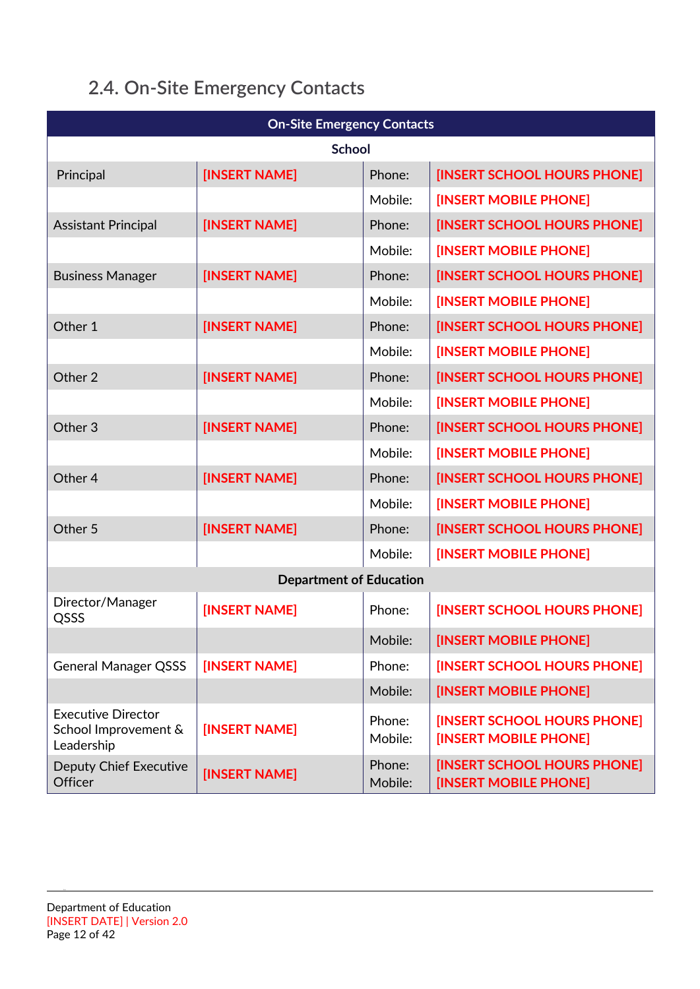# **2.4. On-Site Emergency Contacts**

<span id="page-11-0"></span>

| <b>On-Site Emergency Contacts</b>                               |                                |                   |                                                             |  |  |  |  |  |
|-----------------------------------------------------------------|--------------------------------|-------------------|-------------------------------------------------------------|--|--|--|--|--|
|                                                                 | <b>School</b>                  |                   |                                                             |  |  |  |  |  |
| Principal                                                       | [INSERT NAME]                  | Phone:            | [INSERT SCHOOL HOURS PHONE]                                 |  |  |  |  |  |
|                                                                 |                                | Mobile:           | [INSERT MOBILE PHONE]                                       |  |  |  |  |  |
| <b>Assistant Principal</b>                                      | [INSERT NAME]                  | Phone:            | [INSERT SCHOOL HOURS PHONE]                                 |  |  |  |  |  |
|                                                                 |                                | Mobile:           | [INSERT MOBILE PHONE]                                       |  |  |  |  |  |
| <b>Business Manager</b>                                         | [INSERT NAME]                  | Phone:            | [INSERT SCHOOL HOURS PHONE]                                 |  |  |  |  |  |
|                                                                 |                                | Mobile:           | [INSERT MOBILE PHONE]                                       |  |  |  |  |  |
| Other 1                                                         | [INSERT NAME]                  | Phone:            | [INSERT SCHOOL HOURS PHONE]                                 |  |  |  |  |  |
|                                                                 |                                | Mobile:           | <b>[INSERT MOBILE PHONE]</b>                                |  |  |  |  |  |
| Other 2                                                         | [INSERT NAME]                  | Phone:            | [INSERT SCHOOL HOURS PHONE]                                 |  |  |  |  |  |
|                                                                 |                                | Mobile:           | <b>[INSERT MOBILE PHONE]</b>                                |  |  |  |  |  |
| Other <sub>3</sub>                                              | [INSERT NAME]                  | Phone:            | [INSERT SCHOOL HOURS PHONE]                                 |  |  |  |  |  |
|                                                                 |                                | Mobile:           | [INSERT MOBILE PHONE]                                       |  |  |  |  |  |
| Other 4                                                         | [INSERT NAME]                  | Phone:            | [INSERT SCHOOL HOURS PHONE]                                 |  |  |  |  |  |
|                                                                 |                                | Mobile:           | [INSERT MOBILE PHONE]                                       |  |  |  |  |  |
| Other <sub>5</sub>                                              | [INSERT NAME]                  | Phone:            | [INSERT SCHOOL HOURS PHONE]                                 |  |  |  |  |  |
|                                                                 |                                | Mobile:           | [INSERT MOBILE PHONE]                                       |  |  |  |  |  |
|                                                                 | <b>Department of Education</b> |                   |                                                             |  |  |  |  |  |
| Director/Manager<br>QSSS                                        | [INSERT NAME]                  | Phone:            | [INSERT SCHOOL HOURS PHONE]                                 |  |  |  |  |  |
|                                                                 |                                | Mobile:           | [INSERT MOBILE PHONE]                                       |  |  |  |  |  |
| <b>General Manager QSSS</b>                                     | [INSERT NAME]                  | Phone:            | <b>[INSERT SCHOOL HOURS PHONE]</b>                          |  |  |  |  |  |
|                                                                 |                                | Mobile:           | <b>[INSERT MOBILE PHONE]</b>                                |  |  |  |  |  |
| <b>Executive Director</b><br>School Improvement &<br>Leadership | [INSERT NAME]                  | Phone:<br>Mobile: | [INSERT SCHOOL HOURS PHONE]<br><b>[INSERT MOBILE PHONE]</b> |  |  |  |  |  |
| <b>Deputy Chief Executive</b><br>Officer                        | <b>[INSERT NAME]</b>           | Phone:<br>Mobile: | [INSERT SCHOOL HOURS PHONE]<br>[INSERT MOBILE PHONE]        |  |  |  |  |  |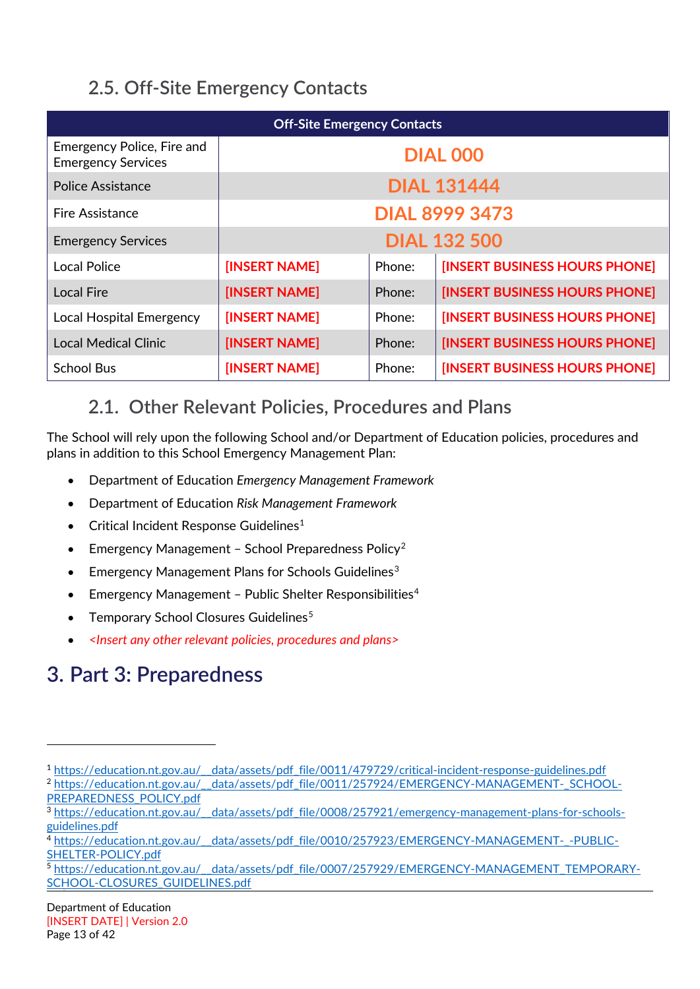# **2.5. Off-Site Emergency Contacts**

<span id="page-12-0"></span>

| <b>Off-Site Emergency Contacts</b>                      |                       |                    |                                      |  |  |  |
|---------------------------------------------------------|-----------------------|--------------------|--------------------------------------|--|--|--|
| Emergency Police, Fire and<br><b>Emergency Services</b> |                       |                    | <b>DIAL 000</b>                      |  |  |  |
| <b>Police Assistance</b>                                |                       | <b>DIAL 131444</b> |                                      |  |  |  |
| <b>Fire Assistance</b>                                  | <b>DIAL 8999 3473</b> |                    |                                      |  |  |  |
| <b>Emergency Services</b>                               |                       |                    | <b>DIAL 132 500</b>                  |  |  |  |
| <b>Local Police</b>                                     | [INSERT NAME]         | Phone:             | [INSERT BUSINESS HOURS PHONE]        |  |  |  |
| Local Fire                                              | [INSERT NAME]         | Phone:             | <b>[INSERT BUSINESS HOURS PHONE]</b> |  |  |  |
| <b>Local Hospital Emergency</b>                         | [INSERT NAME]         | Phone:             | <b>[INSERT BUSINESS HOURS PHONE]</b> |  |  |  |
| <b>Local Medical Clinic</b>                             | [INSERT NAME]         | Phone:             | [INSERT BUSINESS HOURS PHONE]        |  |  |  |
| <b>School Bus</b>                                       | [INSERT NAME]         | Phone:             | <b>[INSERT BUSINESS HOURS PHONE]</b> |  |  |  |

## <span id="page-12-1"></span>**2.1. Other Relevant Policies, Procedures and Plans**

The School will rely upon the following School and/or Department of Education policies, procedures and plans in addition to this School Emergency Management Plan:

- Department of Education *Emergency Management Framework*
- Department of Education *Risk Management Framework*
- Critical Incident Response Guidelines<sup>[1](#page-12-3)</sup>
- **•** Emergency Management School Preparedness Policy<sup>[2](#page-12-4)</sup>
- **•** Emergency Management Plans for Schools Guidelines<sup>[3](#page-12-5)</sup>
- **•** Emergency Management Public Shelter Responsibilities<sup>4</sup>
- Temporary School Closures Guidelines<sup>[5](#page-12-7)</sup>
- *<Insert any other relevant policies, procedures and plans>*

# <span id="page-12-2"></span>**3. Part 3: Preparedness**

-

<span id="page-12-3"></span><sup>1</sup> [https://education.nt.gov.au/\\_\\_data/assets/pdf\\_file/0011/479729/critical-incident-response-guidelines.pdf](https://education.nt.gov.au/__data/assets/pdf_file/0011/479729/critical-incident-response-guidelines.pdf)

<span id="page-12-4"></span><sup>&</sup>lt;sup>2</sup> https://education.nt.gov.au/ data/assets/pdf\_file/0011/257924/EMERGENCY-MANAGEMENT-\_SCHOOL-[PREPAREDNESS\\_POLICY.pdf](https://education.nt.gov.au/__data/assets/pdf_file/0011/257924/EMERGENCY-MANAGEMENT-_SCHOOL-PREPAREDNESS_POLICY.pdf)

<span id="page-12-5"></span><sup>3</sup> [https://education.nt.gov.au/\\_\\_data/assets/pdf\\_file/0008/257921/emergency-management-plans-for-schools](https://education.nt.gov.au/__data/assets/pdf_file/0008/257921/emergency-management-plans-for-schools-guidelines.pdf)[guidelines.pdf](https://education.nt.gov.au/__data/assets/pdf_file/0008/257921/emergency-management-plans-for-schools-guidelines.pdf)

<span id="page-12-6"></span><sup>4</sup> https://education.nt.gov.au/ data/assets/pdf file/0010/257923/EMERGENCY-MANAGEMENT-\_-PUBLIC-[SHELTER-POLICY.pdf](https://education.nt.gov.au/__data/assets/pdf_file/0010/257923/EMERGENCY-MANAGEMENT-_-PUBLIC-SHELTER-POLICY.pdf)

<span id="page-12-7"></span><sup>5</sup> [https://education.nt.gov.au/\\_\\_data/assets/pdf\\_file/0007/257929/EMERGENCY-MANAGEMENT\\_TEMPORARY-](https://education.nt.gov.au/__data/assets/pdf_file/0007/257929/EMERGENCY-MANAGEMENT_TEMPORARY-SCHOOL-CLOSURES_GUIDELINES.pdf)[SCHOOL-CLOSURES\\_GUIDELINES.pdf](https://education.nt.gov.au/__data/assets/pdf_file/0007/257929/EMERGENCY-MANAGEMENT_TEMPORARY-SCHOOL-CLOSURES_GUIDELINES.pdf)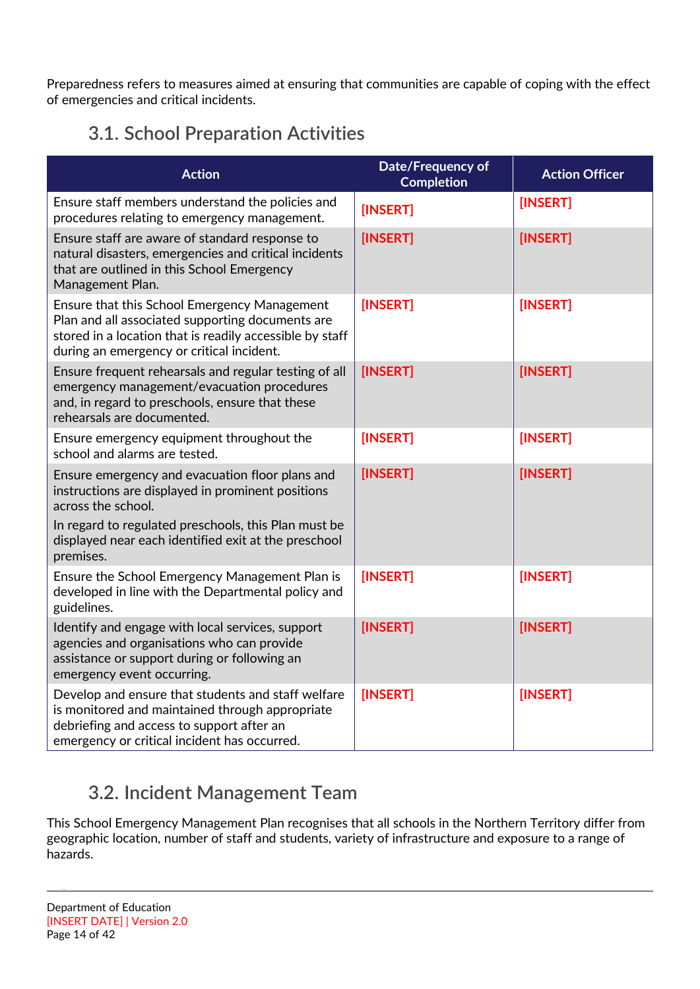Preparedness refers to measures aimed at ensuring that communities are capable of coping with the effect of emergencies and critical incidents.

# **3.1. School Preparation Activities**

<span id="page-13-0"></span>

| <b>Action</b>                                                                                                                                                                                             | Date/Frequency of<br><b>Completion</b> | <b>Action Officer</b> |
|-----------------------------------------------------------------------------------------------------------------------------------------------------------------------------------------------------------|----------------------------------------|-----------------------|
| Ensure staff members understand the policies and<br>procedures relating to emergency management.                                                                                                          | [INSERT]                               | [INSERT]              |
| Ensure staff are aware of standard response to<br>natural disasters, emergencies and critical incidents<br>that are outlined in this School Emergency<br>Management Plan.                                 | [INSERT]                               | [INSERT]              |
| Ensure that this School Emergency Management<br>Plan and all associated supporting documents are<br>stored in a location that is readily accessible by staff<br>during an emergency or critical incident. | [INSERT]                               | [INSERT]              |
| Ensure frequent rehearsals and regular testing of all<br>emergency management/evacuation procedures<br>and, in regard to preschools, ensure that these<br>rehearsals are documented.                      | [INSERT]                               | [INSERT]              |
| Ensure emergency equipment throughout the<br>school and alarms are tested.                                                                                                                                | [INSERT]                               | [INSERT]              |
| Ensure emergency and evacuation floor plans and<br>instructions are displayed in prominent positions<br>across the school.                                                                                | [INSERT]                               | [INSERT]              |
| In regard to regulated preschools, this Plan must be<br>displayed near each identified exit at the preschool<br>premises.                                                                                 |                                        |                       |
| Ensure the School Emergency Management Plan is<br>developed in line with the Departmental policy and<br>guidelines.                                                                                       | [INSERT]                               | [INSERT]              |
| Identify and engage with local services, support<br>agencies and organisations who can provide<br>assistance or support during or following an<br>emergency event occurring.                              | [INSERT]                               | [INSERT]              |
| Develop and ensure that students and staff welfare<br>is monitored and maintained through appropriate<br>debriefing and access to support after an<br>emergency or critical incident has occurred.        | [INSERT]                               | [INSERT]              |

# **3.2. Incident Management Team**

<span id="page-13-1"></span>This School Emergency Management Plan recognises that all schools in the Northern Territory differ from geographic location, number of staff and students, variety of infrastructure and exposure to a range of hazards.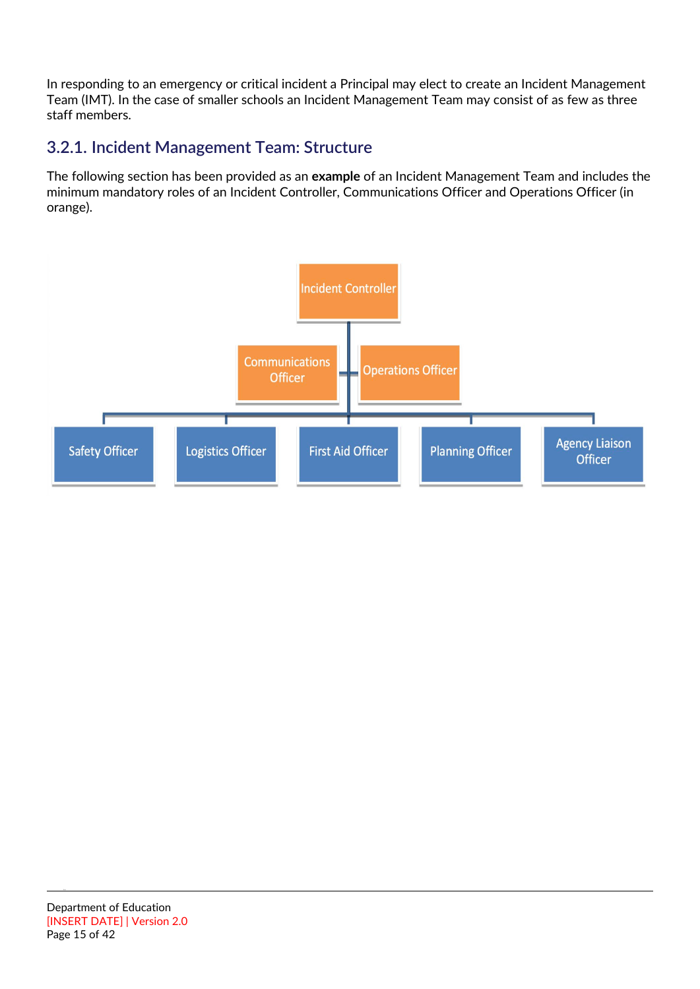In responding to an emergency or critical incident a Principal may elect to create an Incident Management Team (IMT). In the case of smaller schools an Incident Management Team may consist of as few as three staff members.

#### <span id="page-14-0"></span>**3.2.1. Incident Management Team: Structure**

The following section has been provided as an **example** of an Incident Management Team and includes the minimum mandatory roles of an Incident Controller, Communications Officer and Operations Officer (in orange).

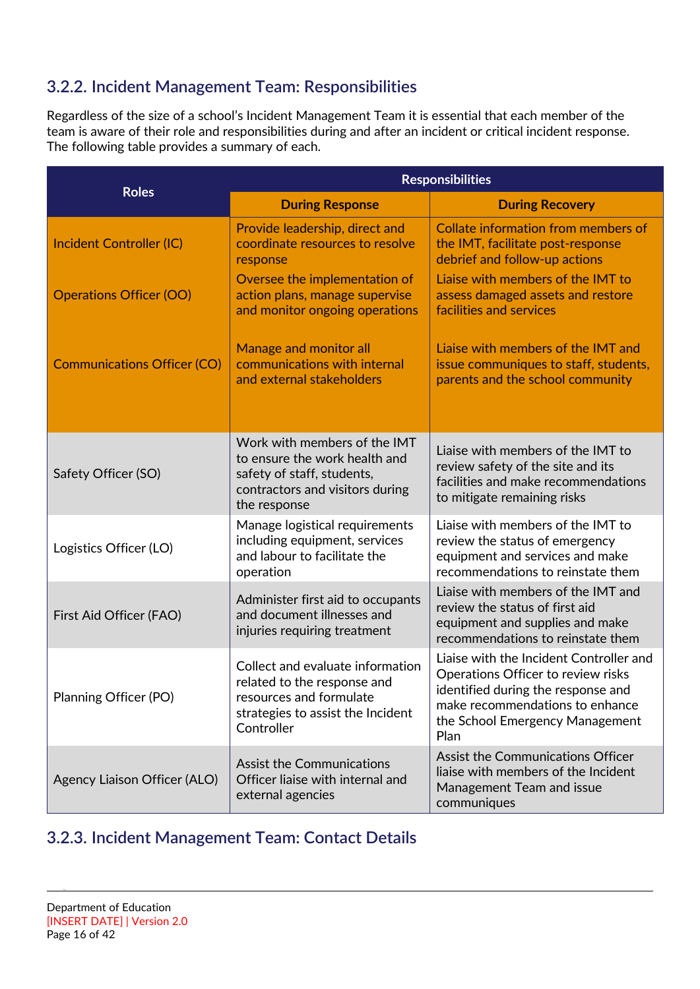#### <span id="page-15-0"></span>**3.2.2. Incident Management Team: Responsibilities**

Regardless of the size of a school's Incident Management Team it is essential that each member of the team is aware of their role and responsibilities during and after an incident or critical incident response. The following table provides a summary of each.

|                                    | <b>Responsibilities</b>                                                                                                                        |                                                                                                                                                                                                   |  |
|------------------------------------|------------------------------------------------------------------------------------------------------------------------------------------------|---------------------------------------------------------------------------------------------------------------------------------------------------------------------------------------------------|--|
| <b>Roles</b>                       | <b>During Response</b>                                                                                                                         | <b>During Recovery</b>                                                                                                                                                                            |  |
| Incident Controller (IC)           | Provide leadership, direct and<br>coordinate resources to resolve<br>response                                                                  | Collate information from members of<br>the IMT, facilitate post-response<br>debrief and follow-up actions                                                                                         |  |
| <b>Operations Officer (OO)</b>     | Oversee the implementation of<br>action plans, manage supervise<br>and monitor ongoing operations                                              | Liaise with members of the IMT to<br>assess damaged assets and restore<br>facilities and services                                                                                                 |  |
| <b>Communications Officer (CO)</b> | Manage and monitor all<br>communications with internal<br>and external stakeholders                                                            | Liaise with members of the IMT and<br>issue communiques to staff, students,<br>parents and the school community                                                                                   |  |
| Safety Officer (SO)                | Work with members of the IMT<br>to ensure the work health and<br>safety of staff, students,<br>contractors and visitors during<br>the response | Liaise with members of the IMT to<br>review safety of the site and its<br>facilities and make recommendations<br>to mitigate remaining risks                                                      |  |
| Logistics Officer (LO)             | Manage logistical requirements<br>including equipment, services<br>and labour to facilitate the<br>operation                                   | Liaise with members of the IMT to<br>review the status of emergency<br>equipment and services and make<br>recommendations to reinstate them                                                       |  |
| First Aid Officer (FAO)            | Administer first aid to occupants<br>and document illnesses and<br>injuries requiring treatment                                                | Liaise with members of the IMT and<br>review the status of first aid<br>equipment and supplies and make<br>recommendations to reinstate them                                                      |  |
| Planning Officer (PO)              | Collect and evaluate information<br>related to the response and<br>resources and formulate<br>strategies to assist the Incident<br>Controller  | Liaise with the Incident Controller and<br>Operations Officer to review risks<br>identified during the response and<br>make recommendations to enhance<br>the School Emergency Management<br>Plan |  |
| Agency Liaison Officer (ALO)       | <b>Assist the Communications</b><br>Officer liaise with internal and<br>external agencies                                                      | Assist the Communications Officer<br>liaise with members of the Incident<br>Management Team and issue<br>communiques                                                                              |  |

#### <span id="page-15-1"></span>**3.2.3. Incident Management Team: Contact Details**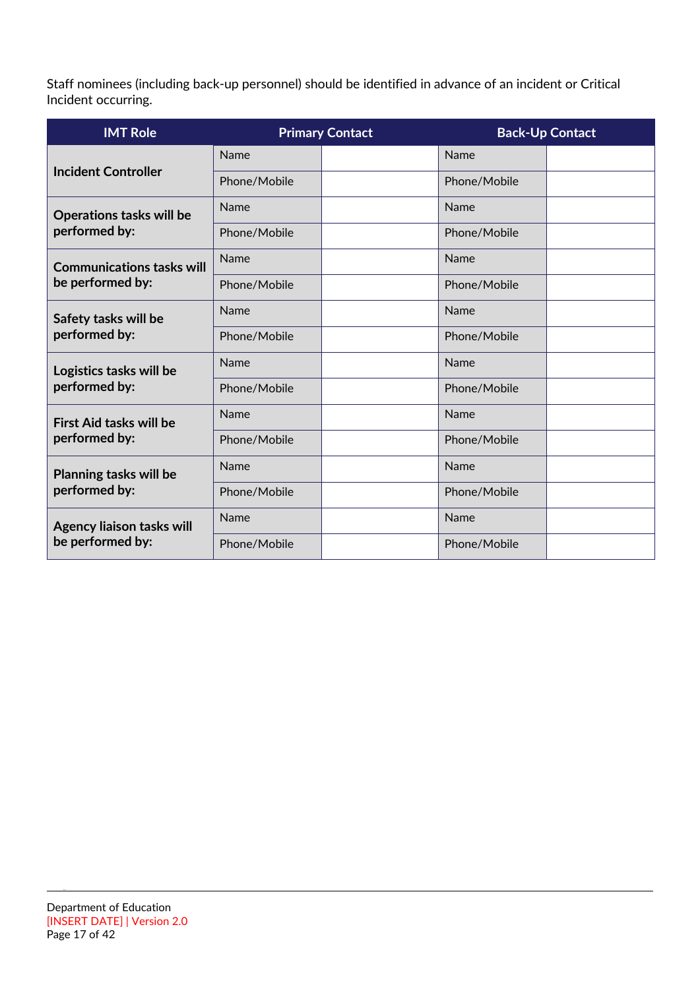Staff nominees (including back-up personnel) should be identified in advance of an incident or Critical Incident occurring.

| <b>IMT Role</b>                                      |              | <b>Primary Contact</b> |              | <b>Back-Up Contact</b> |
|------------------------------------------------------|--------------|------------------------|--------------|------------------------|
| <b>Incident Controller</b>                           | Name         |                        | <b>Name</b>  |                        |
|                                                      | Phone/Mobile |                        | Phone/Mobile |                        |
| Operations tasks will be                             | Name         |                        | Name         |                        |
| performed by:                                        | Phone/Mobile |                        | Phone/Mobile |                        |
| <b>Communications tasks will</b>                     | <b>Name</b>  |                        | Name         |                        |
| be performed by:                                     | Phone/Mobile |                        | Phone/Mobile |                        |
| Safety tasks will be                                 | Name         |                        | Name         |                        |
| performed by:                                        | Phone/Mobile |                        | Phone/Mobile |                        |
| Logistics tasks will be                              | Name         |                        | Name         |                        |
| performed by:                                        | Phone/Mobile |                        | Phone/Mobile |                        |
| First Aid tasks will be<br>performed by:             | Name         |                        | Name         |                        |
|                                                      | Phone/Mobile |                        | Phone/Mobile |                        |
| <b>Planning tasks will be</b><br>performed by:       | Name         |                        | Name         |                        |
|                                                      | Phone/Mobile |                        | Phone/Mobile |                        |
| <b>Agency liaison tasks will</b><br>be performed by: | Name         |                        | Name         |                        |
|                                                      | Phone/Mobile |                        | Phone/Mobile |                        |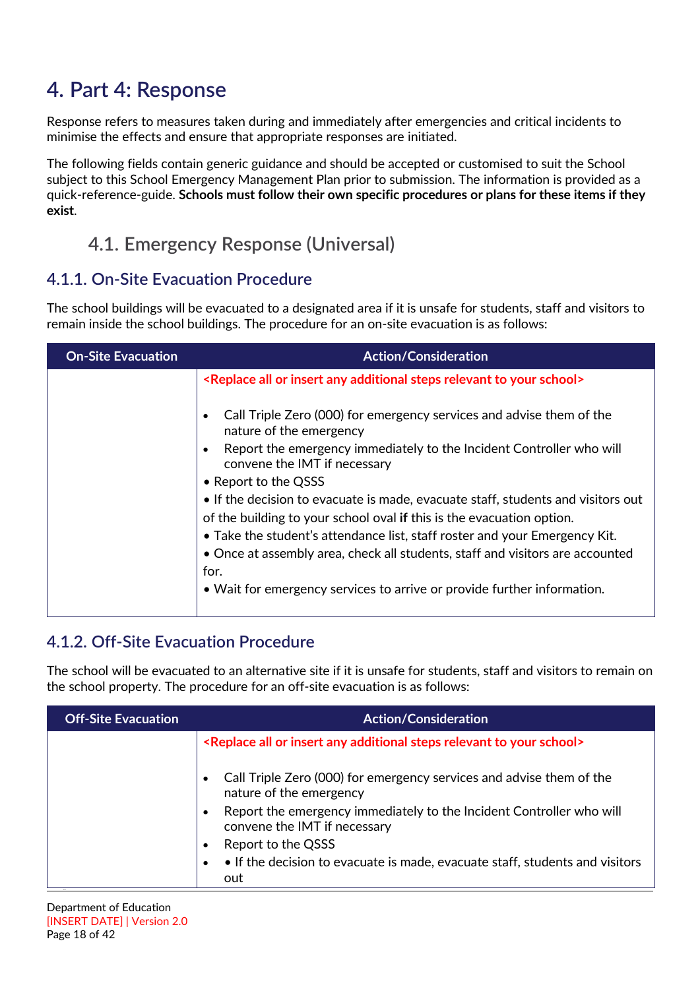# <span id="page-17-0"></span>**4. Part 4: Response**

Response refers to measures taken during and immediately after emergencies and critical incidents to minimise the effects and ensure that appropriate responses are initiated.

The following fields contain generic guidance and should be accepted or customised to suit the School subject to this School Emergency Management Plan prior to submission. The information is provided as a quick-reference-guide. **Schools must follow their own specific procedures or plans for these items if they exist**.

### **4.1. Emergency Response (Universal)**

#### <span id="page-17-2"></span><span id="page-17-1"></span>**4.1.1. On-Site Evacuation Procedure**

The school buildings will be evacuated to a designated area if it is unsafe for students, staff and visitors to remain inside the school buildings. The procedure for an on-site evacuation is as follows:

| <b>On-Site Evacuation</b> | <b>Action/Consideration</b>                                                                                                                               |
|---------------------------|-----------------------------------------------------------------------------------------------------------------------------------------------------------|
|                           | <replace additional="" all="" any="" insert="" or="" relevant="" school="" steps="" to="" your=""></replace>                                              |
|                           | Call Triple Zero (000) for emergency services and advise them of the<br>$\bullet$<br>nature of the emergency                                              |
|                           | Report the emergency immediately to the Incident Controller who will<br>$\bullet$<br>convene the IMT if necessary                                         |
|                           | • Report to the QSSS                                                                                                                                      |
|                           | • If the decision to evacuate is made, evacuate staff, students and visitors out<br>of the building to your school oval if this is the evacuation option. |
|                           | • Take the student's attendance list, staff roster and your Emergency Kit.                                                                                |
|                           | • Once at assembly area, check all students, staff and visitors are accounted                                                                             |
|                           | for.                                                                                                                                                      |
|                           | • Wait for emergency services to arrive or provide further information.                                                                                   |

#### <span id="page-17-3"></span>**4.1.2. Off-Site Evacuation Procedure**

The school will be evacuated to an alternative site if it is unsafe for students, staff and visitors to remain on the school property. The procedure for an off-site evacuation is as follows:

| <b>Off-Site Evacuation</b> | <b>Action/Consideration</b>                                                                                                                                                                                                                                                                                                       |
|----------------------------|-----------------------------------------------------------------------------------------------------------------------------------------------------------------------------------------------------------------------------------------------------------------------------------------------------------------------------------|
|                            | <replace additional="" all="" any="" insert="" or="" relevant="" school="" steps="" to="" your=""></replace>                                                                                                                                                                                                                      |
|                            | Call Triple Zero (000) for emergency services and advise them of the<br>nature of the emergency<br>Report the emergency immediately to the Incident Controller who will<br>convene the IMT if necessary<br>Report to the QSSS<br>$\bullet$<br>• If the decision to evacuate is made, evacuate staff, students and visitors<br>out |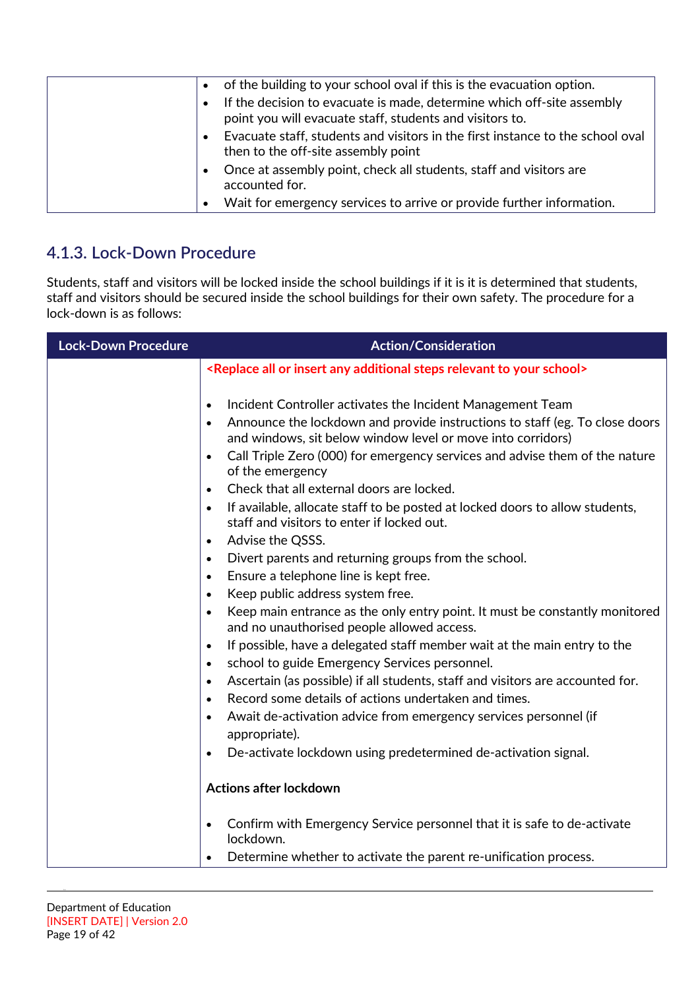|           | of the building to your school oval if this is the evacuation option.                                                              |
|-----------|------------------------------------------------------------------------------------------------------------------------------------|
| $\bullet$ | If the decision to evacuate is made, determine which off-site assembly<br>point you will evacuate staff, students and visitors to. |
| $\bullet$ | Evacuate staff, students and visitors in the first instance to the school oval<br>then to the off-site assembly point              |
|           | Once at assembly point, check all students, staff and visitors are<br>accounted for.                                               |
| $\bullet$ | Wait for emergency services to arrive or provide further information.                                                              |

#### <span id="page-18-0"></span>**4.1.3. Lock-Down Procedure**

Students, staff and visitors will be locked inside the school buildings if it is it is determined that students, staff and visitors should be secured inside the school buildings for their own safety. The procedure for a lock-down is as follows:

| <b>Lock-Down Procedure</b> | <b>Action/Consideration</b>                                                                                                                                                                                                                                                                                                                                                                                                                                                                                                                                                                                                                                                                                                                                                                                                                                                                                                                                                                                                                                                                                                                                                                                                                                                                                                                 |
|----------------------------|---------------------------------------------------------------------------------------------------------------------------------------------------------------------------------------------------------------------------------------------------------------------------------------------------------------------------------------------------------------------------------------------------------------------------------------------------------------------------------------------------------------------------------------------------------------------------------------------------------------------------------------------------------------------------------------------------------------------------------------------------------------------------------------------------------------------------------------------------------------------------------------------------------------------------------------------------------------------------------------------------------------------------------------------------------------------------------------------------------------------------------------------------------------------------------------------------------------------------------------------------------------------------------------------------------------------------------------------|
|                            | <replace additional="" all="" any="" insert="" or="" relevant="" school="" steps="" to="" your=""></replace>                                                                                                                                                                                                                                                                                                                                                                                                                                                                                                                                                                                                                                                                                                                                                                                                                                                                                                                                                                                                                                                                                                                                                                                                                                |
|                            | Incident Controller activates the Incident Management Team<br>$\bullet$<br>Announce the lockdown and provide instructions to staff (eg. To close doors<br>$\bullet$<br>and windows, sit below window level or move into corridors)<br>Call Triple Zero (000) for emergency services and advise them of the nature<br>$\bullet$<br>of the emergency<br>Check that all external doors are locked.<br>$\bullet$<br>If available, allocate staff to be posted at locked doors to allow students,<br>$\bullet$<br>staff and visitors to enter if locked out.<br>Advise the QSSS.<br>$\bullet$<br>Divert parents and returning groups from the school.<br>$\bullet$<br>Ensure a telephone line is kept free.<br>$\bullet$<br>Keep public address system free.<br>$\bullet$<br>Keep main entrance as the only entry point. It must be constantly monitored<br>$\bullet$<br>and no unauthorised people allowed access.<br>If possible, have a delegated staff member wait at the main entry to the<br>$\bullet$<br>school to guide Emergency Services personnel.<br>$\bullet$<br>Ascertain (as possible) if all students, staff and visitors are accounted for.<br>$\bullet$<br>Record some details of actions undertaken and times.<br>$\bullet$<br>Await de-activation advice from emergency services personnel (if<br>$\bullet$<br>appropriate). |
|                            | De-activate lockdown using predetermined de-activation signal.<br>$\bullet$                                                                                                                                                                                                                                                                                                                                                                                                                                                                                                                                                                                                                                                                                                                                                                                                                                                                                                                                                                                                                                                                                                                                                                                                                                                                 |
|                            | <b>Actions after lockdown</b>                                                                                                                                                                                                                                                                                                                                                                                                                                                                                                                                                                                                                                                                                                                                                                                                                                                                                                                                                                                                                                                                                                                                                                                                                                                                                                               |
|                            | Confirm with Emergency Service personnel that it is safe to de-activate<br>$\bullet$<br>lockdown.                                                                                                                                                                                                                                                                                                                                                                                                                                                                                                                                                                                                                                                                                                                                                                                                                                                                                                                                                                                                                                                                                                                                                                                                                                           |
|                            | Determine whether to activate the parent re-unification process.<br>$\bullet$                                                                                                                                                                                                                                                                                                                                                                                                                                                                                                                                                                                                                                                                                                                                                                                                                                                                                                                                                                                                                                                                                                                                                                                                                                                               |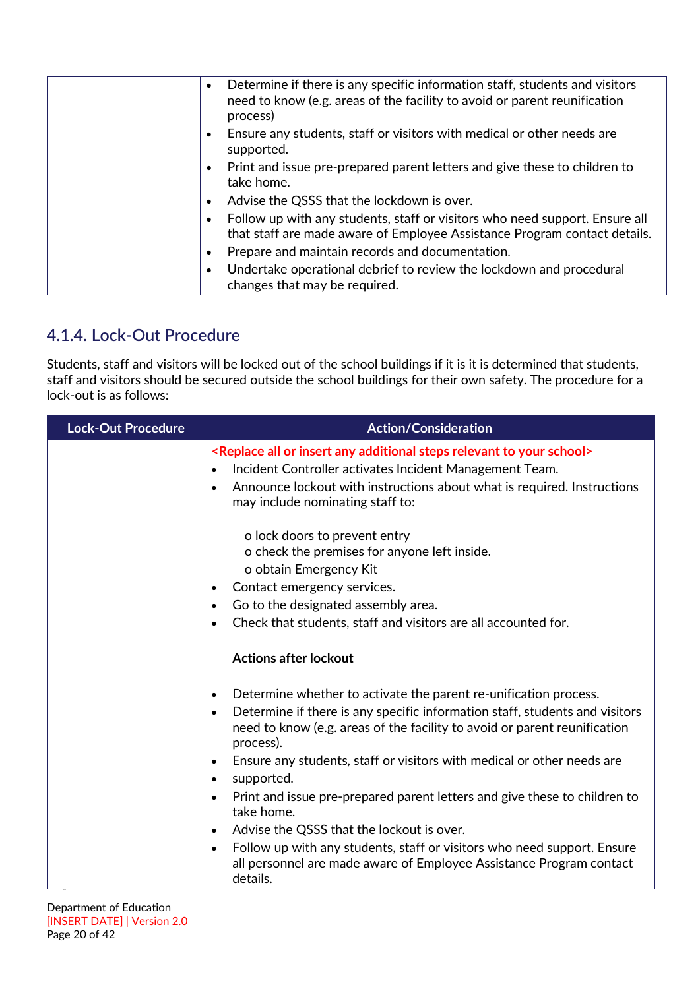| Determine if there is any specific information staff, students and visitors<br>$\bullet$<br>need to know (e.g. areas of the facility to avoid or parent reunification<br>process)                           |
|-------------------------------------------------------------------------------------------------------------------------------------------------------------------------------------------------------------|
| Ensure any students, staff or visitors with medical or other needs are<br>supported.                                                                                                                        |
| Print and issue pre-prepared parent letters and give these to children to<br>take home.                                                                                                                     |
| Advise the QSSS that the lockdown is over.                                                                                                                                                                  |
| Follow up with any students, staff or visitors who need support. Ensure all<br>that staff are made aware of Employee Assistance Program contact details.<br>Prepare and maintain records and documentation. |
| Undertake operational debrief to review the lockdown and procedural<br>changes that may be required.                                                                                                        |

#### <span id="page-19-0"></span>**4.1.4. Lock-Out Procedure**

Students, staff and visitors will be locked out of the school buildings if it is it is determined that students, staff and visitors should be secured outside the school buildings for their own safety. The procedure for a lock-out is as follows:

| <b>Lock-Out Procedure</b> | <b>Action/Consideration</b>                                                                                                                                                                                                                                                                                                                                                                                                                                                                   |
|---------------------------|-----------------------------------------------------------------------------------------------------------------------------------------------------------------------------------------------------------------------------------------------------------------------------------------------------------------------------------------------------------------------------------------------------------------------------------------------------------------------------------------------|
|                           | <replace additional="" all="" any="" insert="" or="" relevant="" school="" steps="" to="" your=""><br/>Incident Controller activates Incident Management Team.<br/><math display="inline">\bullet</math><br/>Announce lockout with instructions about what is required. Instructions<br/><math display="block">\bullet</math><br/>may include nominating staff to:</replace>                                                                                                                  |
|                           | o lock doors to prevent entry<br>o check the premises for anyone left inside.<br>o obtain Emergency Kit<br>Contact emergency services.<br>$\bullet$<br>Go to the designated assembly area.<br>$\bullet$<br>Check that students, staff and visitors are all accounted for.<br>$\bullet$                                                                                                                                                                                                        |
|                           | <b>Actions after lockout</b>                                                                                                                                                                                                                                                                                                                                                                                                                                                                  |
|                           | Determine whether to activate the parent re-unification process.<br>$\bullet$<br>Determine if there is any specific information staff, students and visitors<br>$\bullet$<br>need to know (e.g. areas of the facility to avoid or parent reunification<br>process).<br>Ensure any students, staff or visitors with medical or other needs are<br>$\bullet$<br>supported.<br>$\bullet$<br>Print and issue pre-prepared parent letters and give these to children to<br>$\bullet$<br>take home. |
|                           | Advise the QSSS that the lockout is over.<br>$\bullet$<br>Follow up with any students, staff or visitors who need support. Ensure<br>$\bullet$<br>all personnel are made aware of Employee Assistance Program contact<br>details.                                                                                                                                                                                                                                                             |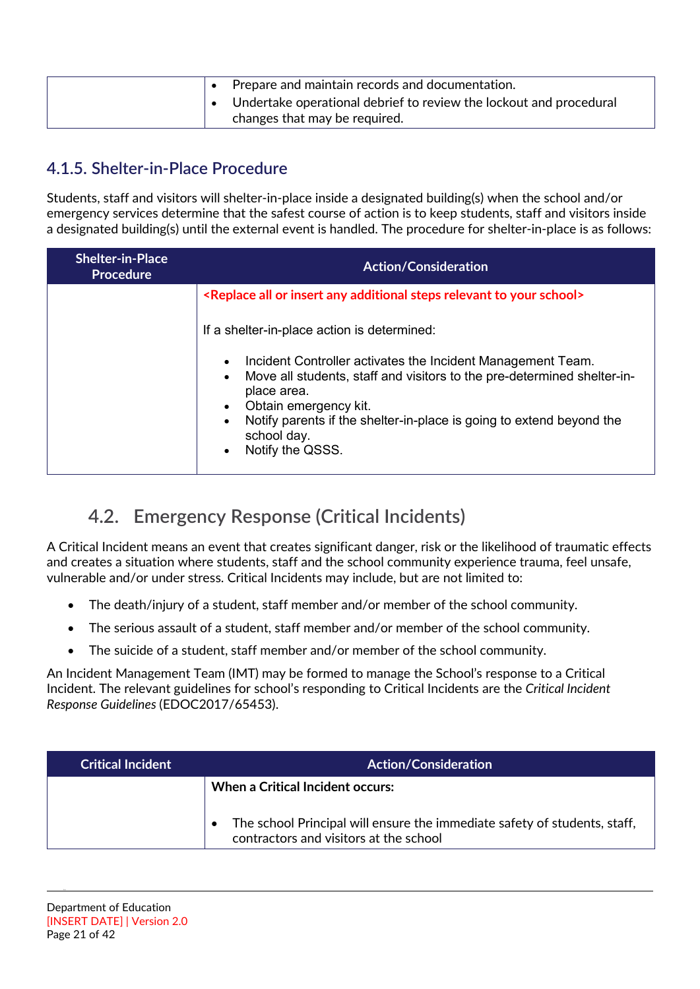|  | Prepare and maintain records and documentation.<br>Undertake operational debrief to review the lockout and procedural<br>changes that may be required. |
|--|--------------------------------------------------------------------------------------------------------------------------------------------------------|
|  |                                                                                                                                                        |

#### <span id="page-20-0"></span>**4.1.5. Shelter-in-Place Procedure**

Students, staff and visitors will shelter-in-place inside a designated building(s) when the school and/or emergency services determine that the safest course of action is to keep students, staff and visitors inside a designated building(s) until the external event is handled. The procedure for shelter-in-place is as follows:

| <b>Shelter-in-Place</b><br><b>Procedure</b> | <b>Action/Consideration</b>                                                                                                                                                                                                                                                                                                                   |  |
|---------------------------------------------|-----------------------------------------------------------------------------------------------------------------------------------------------------------------------------------------------------------------------------------------------------------------------------------------------------------------------------------------------|--|
|                                             | <replace additional="" all="" any="" insert="" or="" relevant="" school="" steps="" to="" your=""></replace>                                                                                                                                                                                                                                  |  |
|                                             | If a shelter-in-place action is determined:                                                                                                                                                                                                                                                                                                   |  |
|                                             | Incident Controller activates the Incident Management Team.<br>$\bullet$<br>Move all students, staff and visitors to the pre-determined shelter-in-<br>$\bullet$<br>place area.<br>Obtain emergency kit.<br>Notify parents if the shelter-in-place is going to extend beyond the<br>$\bullet$<br>school day.<br>Notify the QSSS.<br>$\bullet$ |  |

## <span id="page-20-1"></span>**4.2. Emergency Response (Critical Incidents)**

A Critical Incident means an event that creates significant danger, risk or the likelihood of traumatic effects and creates a situation where students, staff and the school community experience trauma, feel unsafe, vulnerable and/or under stress. Critical Incidents may include, but are not limited to:

- The death/injury of a student, staff member and/or member of the school community.
- The serious assault of a student, staff member and/or member of the school community.
- The suicide of a student, staff member and/or member of the school community.

An Incident Management Team (IMT) may be formed to manage the School's response to a Critical Incident. The relevant guidelines for school's responding to Critical Incidents are the *Critical Incident Response Guidelines* (EDOC2017/65453).

| <b>Critical Incident</b> | <b>Action/Consideration</b>                                                                                         |
|--------------------------|---------------------------------------------------------------------------------------------------------------------|
|                          | When a Critical Incident occurs:                                                                                    |
|                          | The school Principal will ensure the immediate safety of students, staff,<br>contractors and visitors at the school |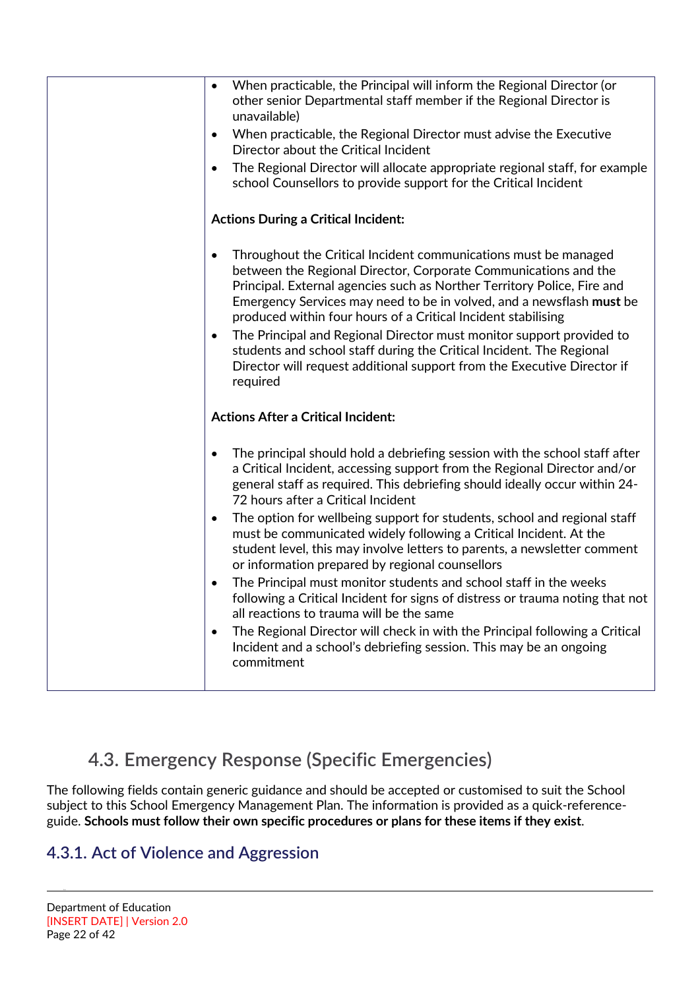| $\bullet$ | When practicable, the Principal will inform the Regional Director (or<br>other senior Departmental staff member if the Regional Director is<br>unavailable)                                                                                                                                                                                                                                                                                                                                                                                                                                                |
|-----------|------------------------------------------------------------------------------------------------------------------------------------------------------------------------------------------------------------------------------------------------------------------------------------------------------------------------------------------------------------------------------------------------------------------------------------------------------------------------------------------------------------------------------------------------------------------------------------------------------------|
| $\bullet$ | When practicable, the Regional Director must advise the Executive<br>Director about the Critical Incident                                                                                                                                                                                                                                                                                                                                                                                                                                                                                                  |
| $\bullet$ | The Regional Director will allocate appropriate regional staff, for example<br>school Counsellors to provide support for the Critical Incident                                                                                                                                                                                                                                                                                                                                                                                                                                                             |
|           | <b>Actions During a Critical Incident:</b>                                                                                                                                                                                                                                                                                                                                                                                                                                                                                                                                                                 |
| $\bullet$ | Throughout the Critical Incident communications must be managed<br>between the Regional Director, Corporate Communications and the<br>Principal. External agencies such as Norther Territory Police, Fire and<br>Emergency Services may need to be in volved, and a newsflash must be<br>produced within four hours of a Critical Incident stabilising<br>The Principal and Regional Director must monitor support provided to<br>$\bullet$<br>students and school staff during the Critical Incident. The Regional<br>Director will request additional support from the Executive Director if<br>required |
|           | <b>Actions After a Critical Incident:</b>                                                                                                                                                                                                                                                                                                                                                                                                                                                                                                                                                                  |
| $\bullet$ | The principal should hold a debriefing session with the school staff after<br>a Critical Incident, accessing support from the Regional Director and/or<br>general staff as required. This debriefing should ideally occur within 24-<br>72 hours after a Critical Incident                                                                                                                                                                                                                                                                                                                                 |
| $\bullet$ | The option for wellbeing support for students, school and regional staff<br>must be communicated widely following a Critical Incident. At the<br>student level, this may involve letters to parents, a newsletter comment<br>or information prepared by regional counsellors                                                                                                                                                                                                                                                                                                                               |
|           | The Principal must monitor students and school staff in the weeks<br>following a Critical Incident for signs of distress or trauma noting that not<br>all reactions to trauma will be the same                                                                                                                                                                                                                                                                                                                                                                                                             |
| $\bullet$ | The Regional Director will check in with the Principal following a Critical<br>Incident and a school's debriefing session. This may be an ongoing<br>commitment                                                                                                                                                                                                                                                                                                                                                                                                                                            |

# **4.3. Emergency Response (Specific Emergencies)**

<span id="page-21-0"></span>The following fields contain generic guidance and should be accepted or customised to suit the School subject to this School Emergency Management Plan. The information is provided as a quick-referenceguide. **Schools must follow their own specific procedures or plans for these items if they exist**.

## <span id="page-21-1"></span>**4.3.1. Act of Violence and Aggression**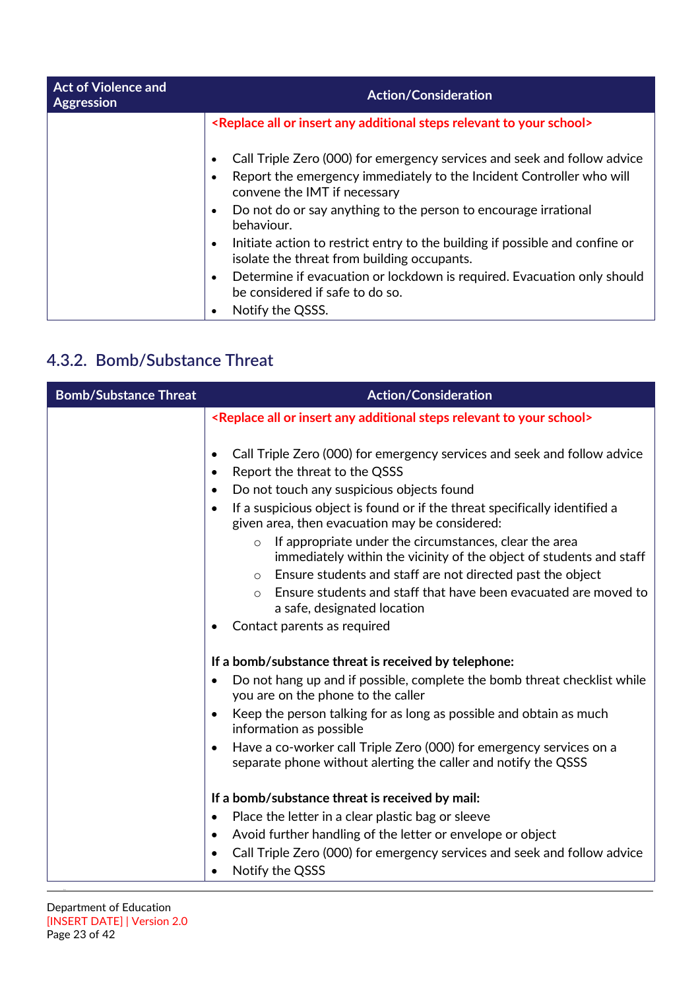| <b>Act of Violence and</b><br><b>Aggression</b> | <b>Action/Consideration</b>                                                                                                                                                                   |  |
|-------------------------------------------------|-----------------------------------------------------------------------------------------------------------------------------------------------------------------------------------------------|--|
|                                                 | <replace additional="" all="" any="" insert="" or="" relevant="" school="" steps="" to="" your=""></replace>                                                                                  |  |
|                                                 | Call Triple Zero (000) for emergency services and seek and follow advice<br>$\bullet$<br>Report the emergency immediately to the Incident Controller who will<br>convene the IMT if necessary |  |
|                                                 | Do not do or say anything to the person to encourage irrational<br>behaviour.                                                                                                                 |  |
|                                                 | Initiate action to restrict entry to the building if possible and confine or<br>isolate the threat from building occupants.                                                                   |  |
|                                                 | Determine if evacuation or lockdown is required. Evacuation only should<br>be considered if safe to do so.                                                                                    |  |
|                                                 | Notify the QSSS.                                                                                                                                                                              |  |

### <span id="page-22-0"></span>**4.3.2. Bomb/Substance Threat**

| <b>Bomb/Substance Threat</b>                                                                                                                                                                                                                                                                                                                                                                                                                                                                                                                                                                                                                                                                                | <b>Action/Consideration</b>                                                                                                                                                                                                                                                                                                                                                                                                   |  |
|-------------------------------------------------------------------------------------------------------------------------------------------------------------------------------------------------------------------------------------------------------------------------------------------------------------------------------------------------------------------------------------------------------------------------------------------------------------------------------------------------------------------------------------------------------------------------------------------------------------------------------------------------------------------------------------------------------------|-------------------------------------------------------------------------------------------------------------------------------------------------------------------------------------------------------------------------------------------------------------------------------------------------------------------------------------------------------------------------------------------------------------------------------|--|
|                                                                                                                                                                                                                                                                                                                                                                                                                                                                                                                                                                                                                                                                                                             | <replace additional="" all="" any="" insert="" or="" relevant="" school="" steps="" to="" your=""></replace>                                                                                                                                                                                                                                                                                                                  |  |
| Call Triple Zero (000) for emergency services and seek and follow advice<br>$\bullet$<br>Report the threat to the QSSS<br>$\bullet$<br>Do not touch any suspicious objects found<br>$\bullet$<br>If a suspicious object is found or if the threat specifically identified a<br>$\bullet$<br>given area, then evacuation may be considered:<br>If appropriate under the circumstances, clear the area<br>$\circ$<br>immediately within the vicinity of the object of students and staff<br>Ensure students and staff are not directed past the object<br>$\circ$<br>Ensure students and staff that have been evacuated are moved to<br>$\circ$<br>a safe, designated location<br>Contact parents as required |                                                                                                                                                                                                                                                                                                                                                                                                                               |  |
|                                                                                                                                                                                                                                                                                                                                                                                                                                                                                                                                                                                                                                                                                                             | If a bomb/substance threat is received by telephone:<br>Do not hang up and if possible, complete the bomb threat checklist while<br>$\bullet$<br>you are on the phone to the caller<br>Keep the person talking for as long as possible and obtain as much<br>information as possible<br>Have a co-worker call Triple Zero (000) for emergency services on a<br>separate phone without alerting the caller and notify the QSSS |  |
|                                                                                                                                                                                                                                                                                                                                                                                                                                                                                                                                                                                                                                                                                                             | If a bomb/substance threat is received by mail:<br>Place the letter in a clear plastic bag or sleeve<br>$\bullet$<br>Avoid further handling of the letter or envelope or object<br>$\bullet$<br>Call Triple Zero (000) for emergency services and seek and follow advice<br>Notify the QSSS                                                                                                                                   |  |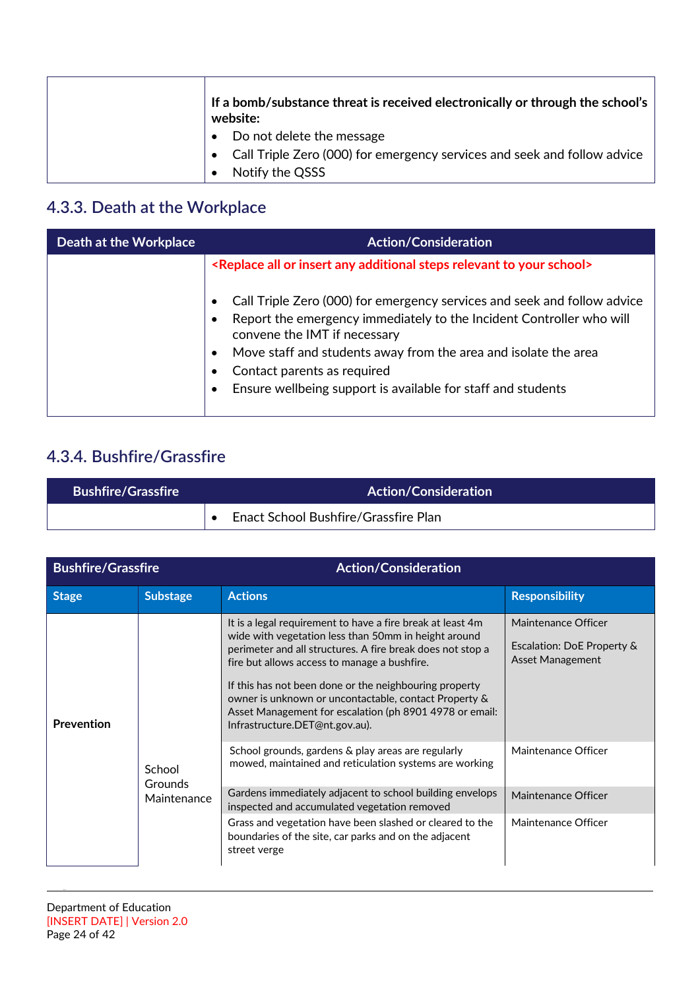| If a bomb/substance threat is received electronically or through the school's<br>website: |
|-------------------------------------------------------------------------------------------|
| • Do not delete the message                                                               |
| Call Triple Zero (000) for emergency services and seek and follow advice                  |
| Notify the QSSS                                                                           |

### <span id="page-23-0"></span>**4.3.3. Death at the Workplace**

| Death at the Workplace | <b>Action/Consideration</b>                                                                                                                                                                                                                                                                                                                                          |  |
|------------------------|----------------------------------------------------------------------------------------------------------------------------------------------------------------------------------------------------------------------------------------------------------------------------------------------------------------------------------------------------------------------|--|
|                        | <replace additional="" all="" any="" insert="" or="" relevant="" school="" steps="" to="" your=""></replace>                                                                                                                                                                                                                                                         |  |
|                        | Call Triple Zero (000) for emergency services and seek and follow advice<br>$\bullet$<br>Report the emergency immediately to the Incident Controller who will<br>convene the IMT if necessary<br>Move staff and students away from the area and isolate the area<br>٠<br>Contact parents as required<br>Ensure wellbeing support is available for staff and students |  |

### <span id="page-23-1"></span>**4.3.4. Bushfire/Grassfire**

| <b>Bushfire/Grassfire</b> | <b>Action/Consideration</b>          |
|---------------------------|--------------------------------------|
|                           | Enact School Bushfire/Grassfire Plan |

| <b>Bushfire/Grassfire</b>        |                 | <b>Action/Consideration</b>                                                                                                                                                                                                                                                                                                                                                                                                                      |                                                                       |
|----------------------------------|-----------------|--------------------------------------------------------------------------------------------------------------------------------------------------------------------------------------------------------------------------------------------------------------------------------------------------------------------------------------------------------------------------------------------------------------------------------------------------|-----------------------------------------------------------------------|
| <b>Stage</b>                     | <b>Substage</b> | <b>Actions</b>                                                                                                                                                                                                                                                                                                                                                                                                                                   | <b>Responsibility</b>                                                 |
| <b>Prevention</b>                |                 | It is a legal requirement to have a fire break at least 4m<br>wide with vegetation less than 50mm in height around<br>perimeter and all structures. A fire break does not stop a<br>fire but allows access to manage a bushfire.<br>If this has not been done or the neighbouring property<br>owner is unknown or uncontactable, contact Property &<br>Asset Management for escalation (ph 8901 4978 or email:<br>Infrastructure.DET@nt.gov.au). | Maintenance Officer<br>Escalation: DoE Property &<br>Asset Management |
| School<br>Grounds<br>Maintenance |                 | School grounds, gardens & play areas are regularly<br>mowed, maintained and reticulation systems are working                                                                                                                                                                                                                                                                                                                                     | Maintenance Officer                                                   |
|                                  |                 | Gardens immediately adjacent to school building envelops<br>inspected and accumulated vegetation removed                                                                                                                                                                                                                                                                                                                                         | Maintenance Officer                                                   |
|                                  |                 | Grass and vegetation have been slashed or cleared to the<br>boundaries of the site, car parks and on the adjacent<br>street verge                                                                                                                                                                                                                                                                                                                | Maintenance Officer                                                   |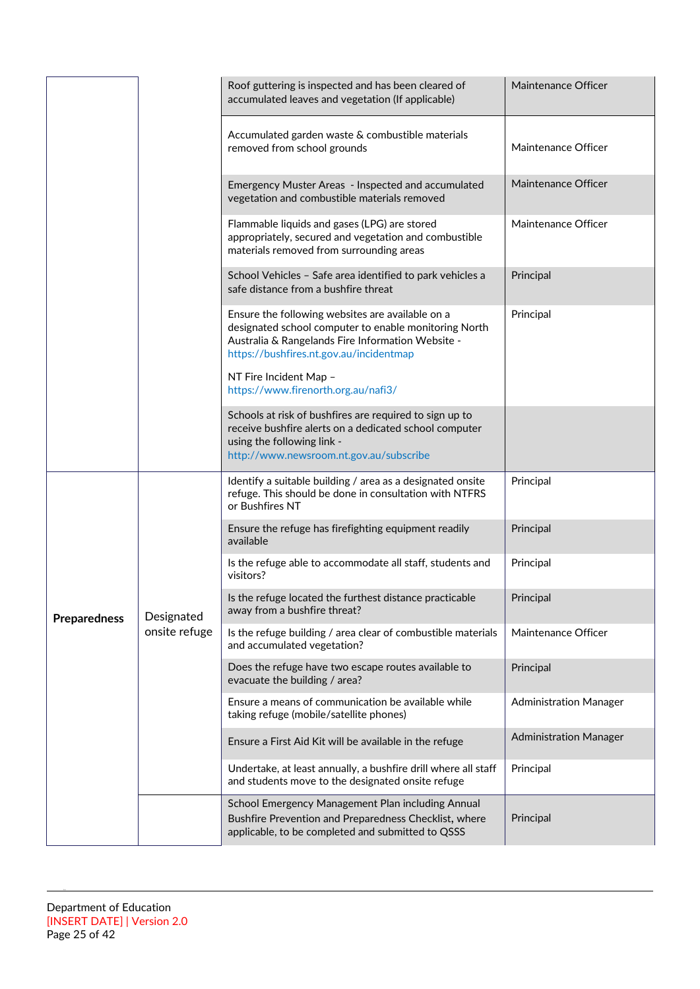|                     |               | Roof guttering is inspected and has been cleared of<br>accumulated leaves and vegetation (If applicable)                                                                                                  | Maintenance Officer           |
|---------------------|---------------|-----------------------------------------------------------------------------------------------------------------------------------------------------------------------------------------------------------|-------------------------------|
|                     |               | Accumulated garden waste & combustible materials<br>removed from school grounds                                                                                                                           | Maintenance Officer           |
|                     |               | Emergency Muster Areas - Inspected and accumulated<br>vegetation and combustible materials removed                                                                                                        | Maintenance Officer           |
|                     |               | Flammable liquids and gases (LPG) are stored<br>appropriately, secured and vegetation and combustible<br>materials removed from surrounding areas                                                         | Maintenance Officer           |
|                     |               | School Vehicles - Safe area identified to park vehicles a<br>safe distance from a bushfire threat                                                                                                         | Principal                     |
|                     |               | Ensure the following websites are available on a<br>designated school computer to enable monitoring North<br>Australia & Rangelands Fire Information Website -<br>https://bushfires.nt.gov.au/incidentmap | Principal                     |
|                     |               | NT Fire Incident Map -<br>https://www.firenorth.org.au/nafi3/                                                                                                                                             |                               |
|                     |               | Schools at risk of bushfires are required to sign up to<br>receive bushfire alerts on a dedicated school computer<br>using the following link -<br>http://www.newsroom.nt.gov.au/subscribe                |                               |
|                     |               | Identify a suitable building / area as a designated onsite<br>refuge. This should be done in consultation with NTFRS<br>or Bushfires NT                                                                   | Principal                     |
|                     |               | Ensure the refuge has firefighting equipment readily<br>available                                                                                                                                         | Principal                     |
|                     |               | Is the refuge able to accommodate all staff, students and<br>visitors?                                                                                                                                    | Principal                     |
| <b>Preparedness</b> | Designated    | Is the refuge located the furthest distance practicable<br>away from a bushfire threat?                                                                                                                   | Principal                     |
|                     | onsite refuge | Is the refuge building / area clear of combustible materials<br>and accumulated vegetation?                                                                                                               | Maintenance Officer           |
|                     |               | Does the refuge have two escape routes available to<br>evacuate the building / area?                                                                                                                      | Principal                     |
|                     |               | Ensure a means of communication be available while<br>taking refuge (mobile/satellite phones)                                                                                                             | <b>Administration Manager</b> |
|                     |               | Ensure a First Aid Kit will be available in the refuge                                                                                                                                                    | <b>Administration Manager</b> |
|                     |               | Undertake, at least annually, a bushfire drill where all staff<br>and students move to the designated onsite refuge                                                                                       | Principal                     |
|                     |               | School Emergency Management Plan including Annual<br>Bushfire Prevention and Preparedness Checklist, where<br>applicable, to be completed and submitted to QSSS                                           | Principal                     |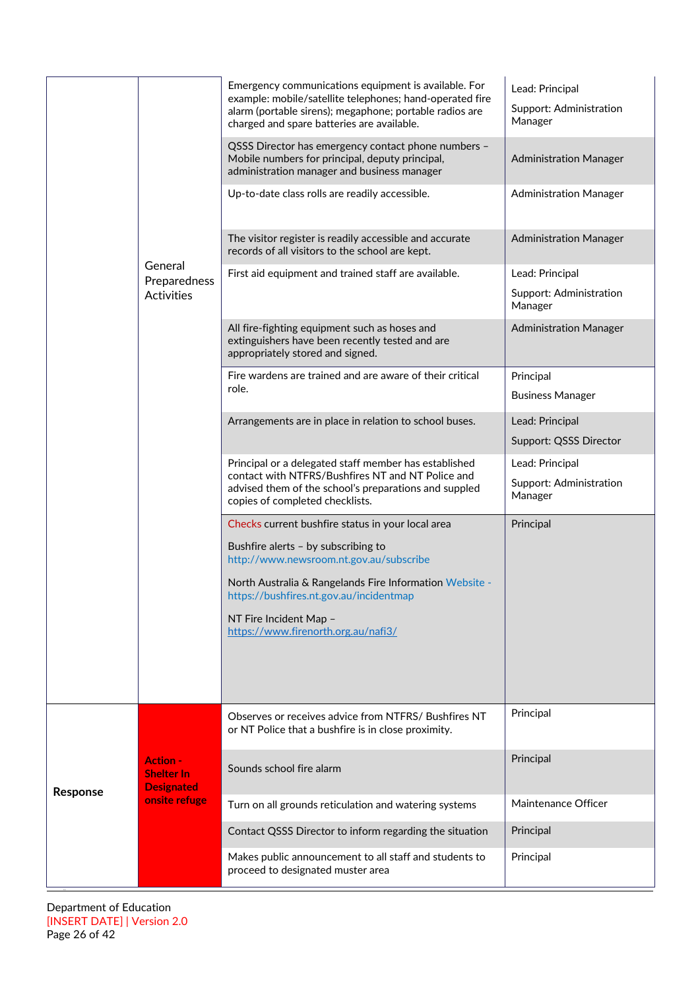|          |                                                           | Emergency communications equipment is available. For<br>example: mobile/satellite telephones; hand-operated fire<br>alarm (portable sirens); megaphone; portable radios are<br>charged and spare batteries are available. | Lead: Principal<br>Support: Administration<br>Manager |
|----------|-----------------------------------------------------------|---------------------------------------------------------------------------------------------------------------------------------------------------------------------------------------------------------------------------|-------------------------------------------------------|
|          |                                                           | QSSS Director has emergency contact phone numbers -<br>Mobile numbers for principal, deputy principal,<br>administration manager and business manager                                                                     | <b>Administration Manager</b>                         |
|          |                                                           | Up-to-date class rolls are readily accessible.                                                                                                                                                                            | <b>Administration Manager</b>                         |
|          |                                                           | The visitor register is readily accessible and accurate<br>records of all visitors to the school are kept.                                                                                                                | <b>Administration Manager</b>                         |
|          | General<br>Preparedness                                   | First aid equipment and trained staff are available.                                                                                                                                                                      | Lead: Principal                                       |
|          | <b>Activities</b>                                         |                                                                                                                                                                                                                           | Support: Administration<br>Manager                    |
|          |                                                           | All fire-fighting equipment such as hoses and<br>extinguishers have been recently tested and are<br>appropriately stored and signed.                                                                                      | <b>Administration Manager</b>                         |
|          |                                                           | Fire wardens are trained and are aware of their critical<br>role.                                                                                                                                                         | Principal                                             |
|          |                                                           |                                                                                                                                                                                                                           | <b>Business Manager</b>                               |
|          |                                                           | Arrangements are in place in relation to school buses.                                                                                                                                                                    | Lead: Principal                                       |
|          |                                                           |                                                                                                                                                                                                                           | Support: QSSS Director                                |
|          |                                                           | Principal or a delegated staff member has established<br>contact with NTFRS/Bushfires NT and NT Police and<br>advised them of the school's preparations and suppled<br>copies of completed checklists.                    | Lead: Principal<br>Support: Administration<br>Manager |
|          |                                                           | Checks current bushfire status in your local area<br>Bushfire alerts - by subscribing to<br>http://www.newsroom.nt.gov.au/subscribe                                                                                       | Principal                                             |
|          |                                                           | North Australia & Rangelands Fire Information Website -<br>https://bushfires.nt.gov.au/incidentmap                                                                                                                        |                                                       |
|          |                                                           | NT Fire Incident Map -<br>https://www.firenorth.org.au/nafi3/                                                                                                                                                             |                                                       |
|          |                                                           | Observes or receives advice from NTFRS/ Bushfires NT<br>or NT Police that a bushfire is in close proximity.                                                                                                               | Principal                                             |
| Response | <b>Action -</b><br><b>Shelter In</b><br><b>Designated</b> | Sounds school fire alarm                                                                                                                                                                                                  | Principal                                             |
|          | onsite refuge                                             | Turn on all grounds reticulation and watering systems                                                                                                                                                                     | Maintenance Officer                                   |
|          |                                                           | Contact QSSS Director to inform regarding the situation                                                                                                                                                                   | Principal                                             |
|          |                                                           | Makes public announcement to all staff and students to<br>proceed to designated muster area                                                                                                                               | Principal                                             |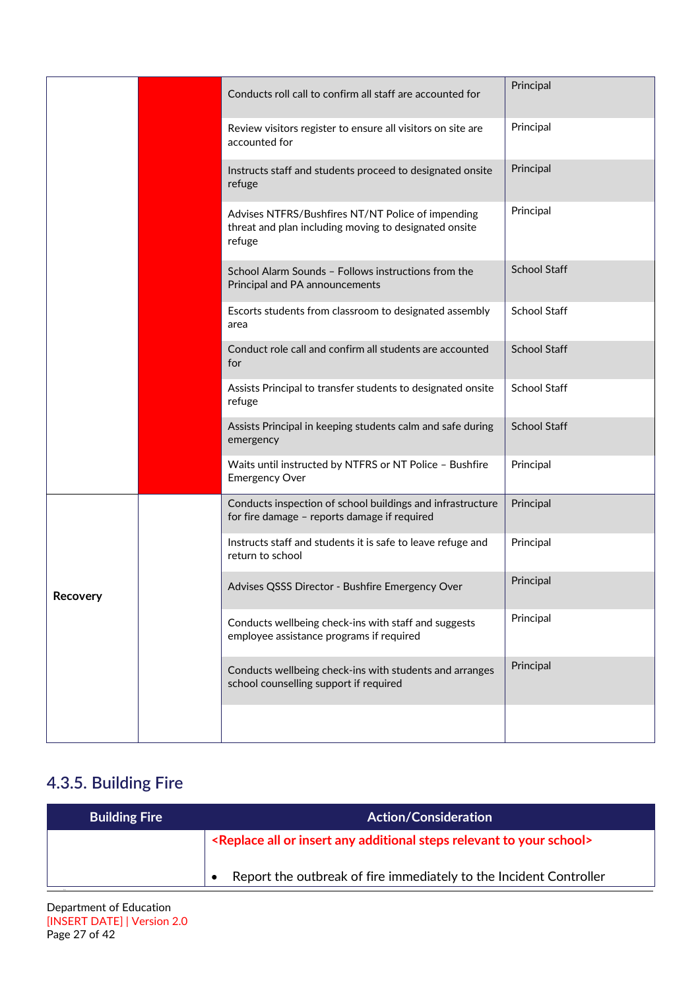|          | Conducts roll call to confirm all staff are accounted for                                                            | Principal           |
|----------|----------------------------------------------------------------------------------------------------------------------|---------------------|
|          | Review visitors register to ensure all visitors on site are<br>accounted for                                         | Principal           |
|          | Instructs staff and students proceed to designated onsite<br>refuge                                                  | Principal           |
|          | Advises NTFRS/Bushfires NT/NT Police of impending<br>threat and plan including moving to designated onsite<br>refuge | Principal           |
|          | School Alarm Sounds - Follows instructions from the<br>Principal and PA announcements                                | <b>School Staff</b> |
|          | Escorts students from classroom to designated assembly<br>area                                                       | <b>School Staff</b> |
|          | Conduct role call and confirm all students are accounted<br>for                                                      | <b>School Staff</b> |
|          | Assists Principal to transfer students to designated onsite<br>refuge                                                | <b>School Staff</b> |
|          | Assists Principal in keeping students calm and safe during<br>emergency                                              | <b>School Staff</b> |
|          | Waits until instructed by NTFRS or NT Police - Bushfire<br><b>Emergency Over</b>                                     | Principal           |
|          | Conducts inspection of school buildings and infrastructure<br>for fire damage - reports damage if required           | Principal           |
| Recovery | Instructs staff and students it is safe to leave refuge and<br>return to school                                      | Principal           |
|          | Advises QSSS Director - Bushfire Emergency Over                                                                      | Principal           |
|          | Conducts wellbeing check-ins with staff and suggests<br>employee assistance programs if required                     | Principal           |
|          | Conducts wellbeing check-ins with students and arranges<br>school counselling support if required                    | Principal           |
|          |                                                                                                                      |                     |

### <span id="page-26-0"></span>**4.3.5. Building Fire**

| <b>Building Fire</b> | <b>Action/Consideration</b>                                                                                  |  |
|----------------------|--------------------------------------------------------------------------------------------------------------|--|
|                      | <replace additional="" all="" any="" insert="" or="" relevant="" school="" steps="" to="" your=""></replace> |  |
|                      | Report the outbreak of fire immediately to the Incident Controller                                           |  |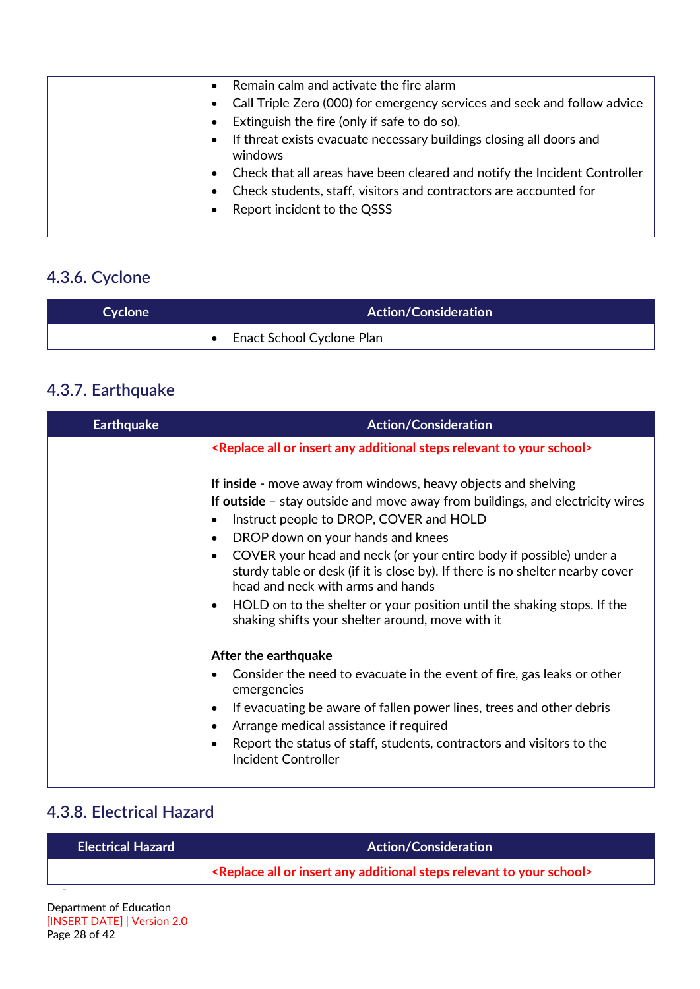| Remain calm and activate the fire alarm<br>$\bullet$                                        |
|---------------------------------------------------------------------------------------------|
| Call Triple Zero (000) for emergency services and seek and follow advice                    |
| Extinguish the fire (only if safe to do so).                                                |
| If threat exists evacuate necessary buildings closing all doors and<br>$\bullet$<br>windows |
| Check that all areas have been cleared and notify the Incident Controller                   |
| Check students, staff, visitors and contractors are accounted for<br>$\bullet$              |
| Report incident to the QSSS                                                                 |
|                                                                                             |

### <span id="page-27-0"></span>**4.3.6. Cyclone**

| Cyclone | <b>Action/Consideration</b> |  |
|---------|-----------------------------|--|
|         | Enact School Cyclone Plan   |  |

### <span id="page-27-1"></span>**4.3.7. Earthquake**

| <b>Earthquake</b> | <b>Action/Consideration</b>                                                                                                                                                                                                                                                                                                                                                                                                                                                                                                                                                                                                                                                                                                                                                                                                                                                              |
|-------------------|------------------------------------------------------------------------------------------------------------------------------------------------------------------------------------------------------------------------------------------------------------------------------------------------------------------------------------------------------------------------------------------------------------------------------------------------------------------------------------------------------------------------------------------------------------------------------------------------------------------------------------------------------------------------------------------------------------------------------------------------------------------------------------------------------------------------------------------------------------------------------------------|
|                   | <replace additional="" all="" any="" insert="" or="" relevant="" school="" steps="" to="" your=""></replace>                                                                                                                                                                                                                                                                                                                                                                                                                                                                                                                                                                                                                                                                                                                                                                             |
|                   | If inside - move away from windows, heavy objects and shelving<br>If outside – stay outside and move away from buildings, and electricity wires<br>Instruct people to DROP, COVER and HOLD<br>DROP down on your hands and knees<br>COVER your head and neck (or your entire body if possible) under a<br>sturdy table or desk (if it is close by). If there is no shelter nearby cover<br>head and neck with arms and hands<br>HOLD on to the shelter or your position until the shaking stops. If the<br>$\bullet$<br>shaking shifts your shelter around, move with it<br>After the earthquake<br>Consider the need to evacuate in the event of fire, gas leaks or other<br>emergencies<br>If evacuating be aware of fallen power lines, trees and other debris<br>٠<br>Arrange medical assistance if required<br>Report the status of staff, students, contractors and visitors to the |
|                   | <b>Incident Controller</b>                                                                                                                                                                                                                                                                                                                                                                                                                                                                                                                                                                                                                                                                                                                                                                                                                                                               |

### <span id="page-27-2"></span>**4.3.8. Electrical Hazard**

| <b>Electrical Hazard</b> | <b>Action/Consideration</b>                                                                                  |
|--------------------------|--------------------------------------------------------------------------------------------------------------|
|                          | <replace additional="" all="" any="" insert="" or="" relevant="" school="" steps="" to="" your=""></replace> |
|                          |                                                                                                              |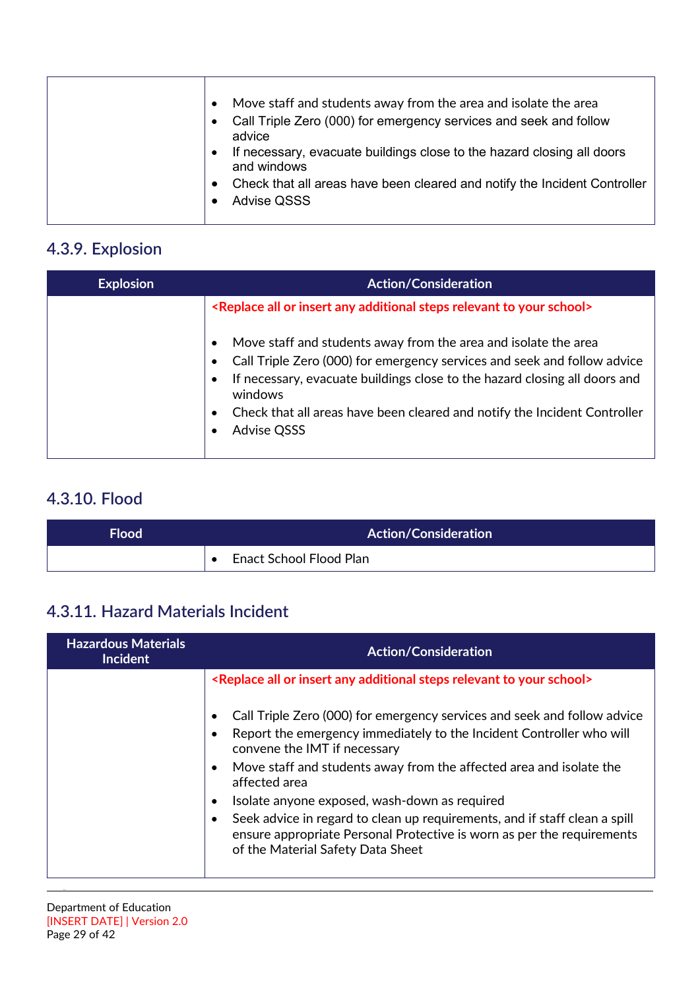#### <span id="page-28-0"></span>**4.3.9. Explosion**

| <b>Explosion</b> | <b>Action/Consideration</b>                                                                                                                                                                                                                                                                                                                          |
|------------------|------------------------------------------------------------------------------------------------------------------------------------------------------------------------------------------------------------------------------------------------------------------------------------------------------------------------------------------------------|
|                  | <replace additional="" all="" any="" insert="" or="" relevant="" school="" steps="" to="" your=""></replace>                                                                                                                                                                                                                                         |
|                  | Move staff and students away from the area and isolate the area<br>Call Triple Zero (000) for emergency services and seek and follow advice<br>If necessary, evacuate buildings close to the hazard closing all doors and<br>windows<br>Check that all areas have been cleared and notify the Incident Controller<br>$\bullet$<br><b>Advise QSSS</b> |

### <span id="page-28-1"></span>**4.3.10. Flood**

| Flood | <b>Action/Consideration</b>    |
|-------|--------------------------------|
|       | <b>Enact School Flood Plan</b> |

# <span id="page-28-2"></span>**4.3.11. Hazard Materials Incident**

| <b>Hazardous Materials</b><br><b>Incident</b> | <b>Action/Consideration</b>                                                                                                                                                                                                                                                                                                                                                                                                                                                                                            |
|-----------------------------------------------|------------------------------------------------------------------------------------------------------------------------------------------------------------------------------------------------------------------------------------------------------------------------------------------------------------------------------------------------------------------------------------------------------------------------------------------------------------------------------------------------------------------------|
|                                               | <replace additional="" all="" any="" insert="" or="" relevant="" school="" steps="" to="" your=""></replace>                                                                                                                                                                                                                                                                                                                                                                                                           |
|                                               | Call Triple Zero (000) for emergency services and seek and follow advice<br>Report the emergency immediately to the Incident Controller who will<br>convene the IMT if necessary<br>Move staff and students away from the affected area and isolate the<br>affected area<br>Isolate anyone exposed, wash-down as required<br>Seek advice in regard to clean up requirements, and if staff clean a spill<br>ensure appropriate Personal Protective is worn as per the requirements<br>of the Material Safety Data Sheet |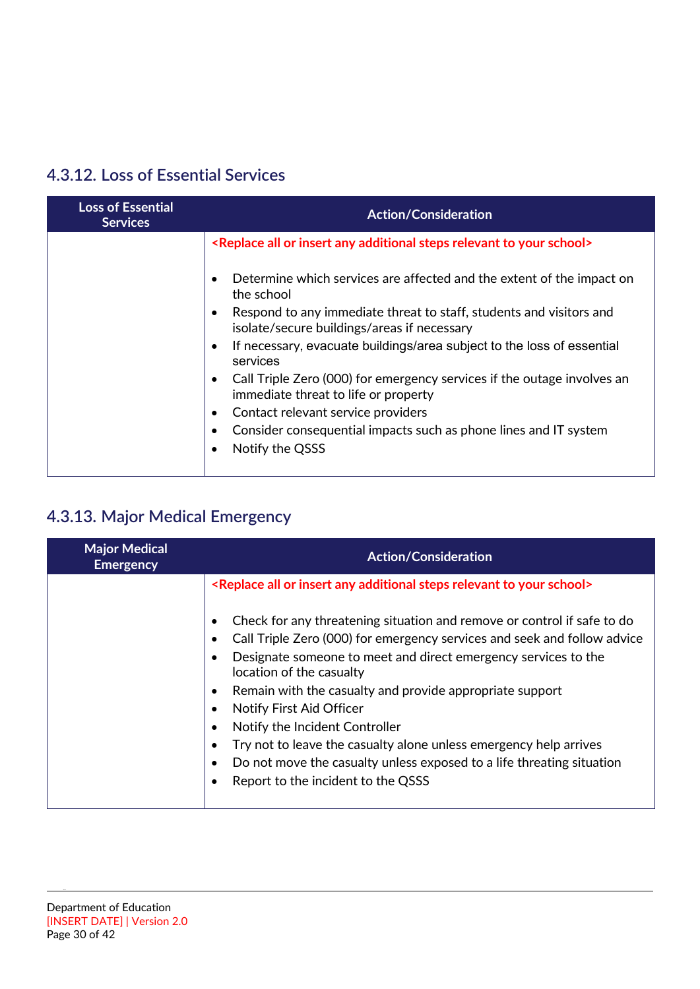#### <span id="page-29-0"></span>**4.3.12. Loss of Essential Services**

| <b>Loss of Essential</b><br><b>Services</b> | <b>Action/Consideration</b>                                                                                          |
|---------------------------------------------|----------------------------------------------------------------------------------------------------------------------|
|                                             | <replace additional="" all="" any="" insert="" or="" relevant="" school="" steps="" to="" your=""></replace>         |
|                                             | Determine which services are affected and the extent of the impact on<br>the school                                  |
|                                             | Respond to any immediate threat to staff, students and visitors and<br>isolate/secure buildings/areas if necessary   |
|                                             | If necessary, evacuate buildings/area subject to the loss of essential<br>$\bullet$<br>services                      |
|                                             | Call Triple Zero (000) for emergency services if the outage involves an<br>٠<br>immediate threat to life or property |
|                                             | Contact relevant service providers                                                                                   |
|                                             | Consider consequential impacts such as phone lines and IT system                                                     |
|                                             | Notify the QSSS                                                                                                      |

### <span id="page-29-1"></span>**4.3.13. Major Medical Emergency**

| <b>Major Medical</b><br><b>Emergency</b> | <b>Action/Consideration</b>                                                                                                                                                                                                                                                                                                                                                                                                                                                                                                                                     |
|------------------------------------------|-----------------------------------------------------------------------------------------------------------------------------------------------------------------------------------------------------------------------------------------------------------------------------------------------------------------------------------------------------------------------------------------------------------------------------------------------------------------------------------------------------------------------------------------------------------------|
|                                          | <replace additional="" all="" any="" insert="" or="" relevant="" school="" steps="" to="" your=""></replace>                                                                                                                                                                                                                                                                                                                                                                                                                                                    |
|                                          | Check for any threatening situation and remove or control if safe to do<br>Call Triple Zero (000) for emergency services and seek and follow advice<br>Designate someone to meet and direct emergency services to the<br>location of the casualty<br>Remain with the casualty and provide appropriate support<br>Notify First Aid Officer<br>Notify the Incident Controller<br>Try not to leave the casualty alone unless emergency help arrives<br>Do not move the casualty unless exposed to a life threating situation<br>Report to the incident to the QSSS |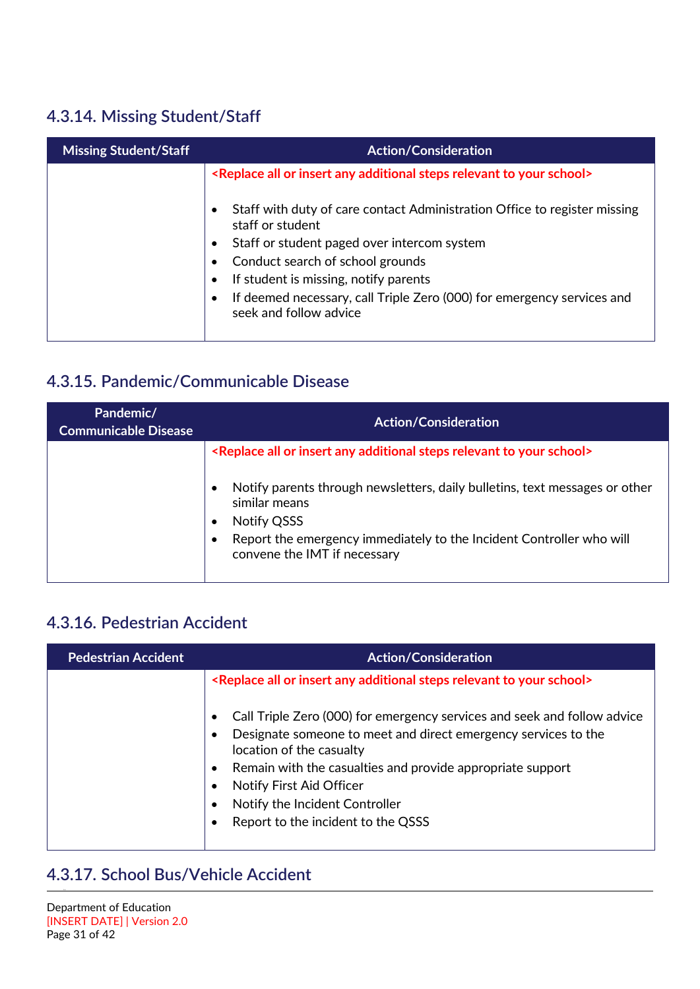### <span id="page-30-0"></span>**4.3.14. Missing Student/Staff**

| <b>Missing Student/Staff</b> | <b>Action/Consideration</b>                                                                                                                                                                                                                                                                                                             |
|------------------------------|-----------------------------------------------------------------------------------------------------------------------------------------------------------------------------------------------------------------------------------------------------------------------------------------------------------------------------------------|
|                              | <replace additional="" all="" any="" insert="" or="" relevant="" school="" steps="" to="" your=""></replace>                                                                                                                                                                                                                            |
|                              | Staff with duty of care contact Administration Office to register missing<br>staff or student<br>Staff or student paged over intercom system<br>Conduct search of school grounds<br>If student is missing, notify parents<br>٠<br>If deemed necessary, call Triple Zero (000) for emergency services and<br>٠<br>seek and follow advice |

# <span id="page-30-1"></span>**4.3.15. Pandemic/Communicable Disease**

| Pandemic/<br><b>Communicable Disease</b> | <b>Action/Consideration</b>                                                                                                                                                                           |
|------------------------------------------|-------------------------------------------------------------------------------------------------------------------------------------------------------------------------------------------------------|
|                                          | <replace additional="" all="" any="" insert="" or="" relevant="" school="" steps="" to="" your=""></replace>                                                                                          |
|                                          | Notify parents through newsletters, daily bulletins, text messages or other<br>similar means<br>Notify QSSS<br>$\bullet$<br>Report the emergency immediately to the Incident Controller who will<br>٠ |
|                                          | convene the IMT if necessary                                                                                                                                                                          |

#### <span id="page-30-2"></span>**4.3.16. Pedestrian Accident**

| <b>Pedestrian Accident</b> | <b>Action/Consideration</b>                                                                                                                                                                                                                                                                                                                                                                  |
|----------------------------|----------------------------------------------------------------------------------------------------------------------------------------------------------------------------------------------------------------------------------------------------------------------------------------------------------------------------------------------------------------------------------------------|
|                            | <replace additional="" all="" any="" insert="" or="" relevant="" school="" steps="" to="" your=""></replace>                                                                                                                                                                                                                                                                                 |
|                            | Call Triple Zero (000) for emergency services and seek and follow advice<br>$\bullet$<br>Designate someone to meet and direct emergency services to the<br>location of the casualty<br>Remain with the casualties and provide appropriate support<br>$\bullet$<br>Notify First Aid Officer<br>$\bullet$<br>Notify the Incident Controller<br>$\bullet$<br>Report to the incident to the QSSS |

### <span id="page-30-3"></span>**4.3.17. School Bus/Vehicle Accident**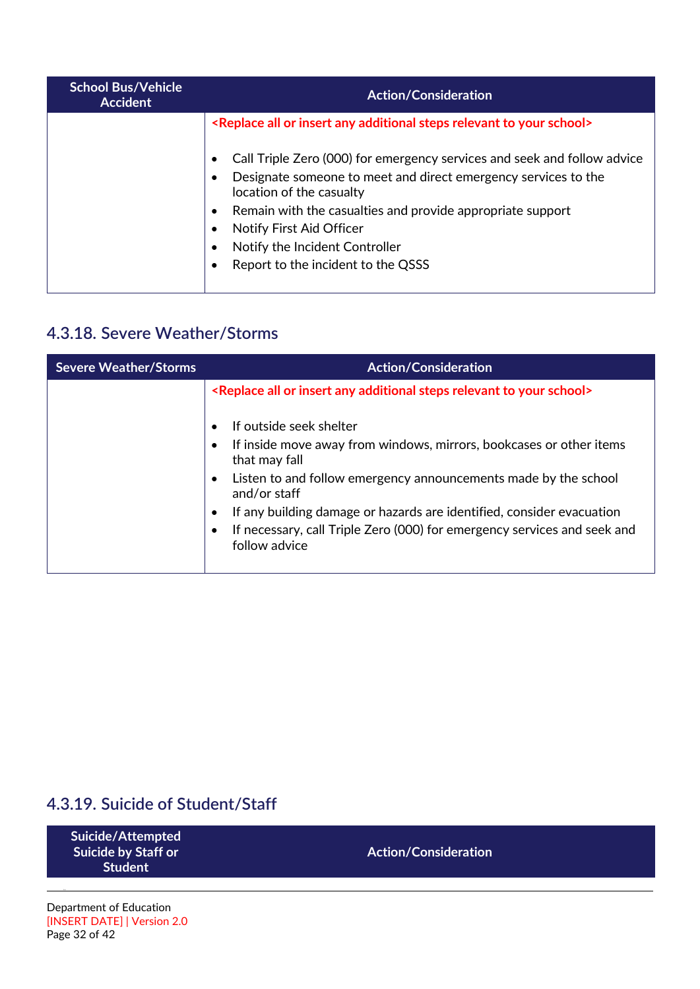| <b>School Bus/Vehicle</b><br><b>Accident</b> | <b>Action/Consideration</b>                                                                                                                                                                                                                                                                                                                                                                               |
|----------------------------------------------|-----------------------------------------------------------------------------------------------------------------------------------------------------------------------------------------------------------------------------------------------------------------------------------------------------------------------------------------------------------------------------------------------------------|
|                                              | <replace additional="" all="" any="" insert="" or="" relevant="" school="" steps="" to="" your=""></replace>                                                                                                                                                                                                                                                                                              |
|                                              | Call Triple Zero (000) for emergency services and seek and follow advice<br>$\bullet$<br>Designate someone to meet and direct emergency services to the<br>location of the casualty<br>Remain with the casualties and provide appropriate support<br>$\bullet$<br>Notify First Aid Officer<br>$\bullet$<br>Notify the Incident Controller<br>$\bullet$<br>Report to the incident to the QSSS<br>$\bullet$ |

#### <span id="page-31-0"></span>**4.3.18. Severe Weather/Storms**

| <b>Severe Weather/Storms</b> | <b>Action/Consideration</b>                                                                                  |
|------------------------------|--------------------------------------------------------------------------------------------------------------|
|                              | <replace additional="" all="" any="" insert="" or="" relevant="" school="" steps="" to="" your=""></replace> |
|                              | If outside seek shelter                                                                                      |
|                              | If inside move away from windows, mirrors, bookcases or other items<br>that may fall                         |
|                              | Listen to and follow emergency announcements made by the school<br>and/or staff                              |
|                              | If any building damage or hazards are identified, consider evacuation<br>٠                                   |
|                              | If necessary, call Triple Zero (000) for emergency services and seek and<br>follow advice                    |

#### <span id="page-31-1"></span>**4.3.19. Suicide of Student/Staff**

**Suicide/Attempted Suicide by Staff or Student**

**Action/Consideration**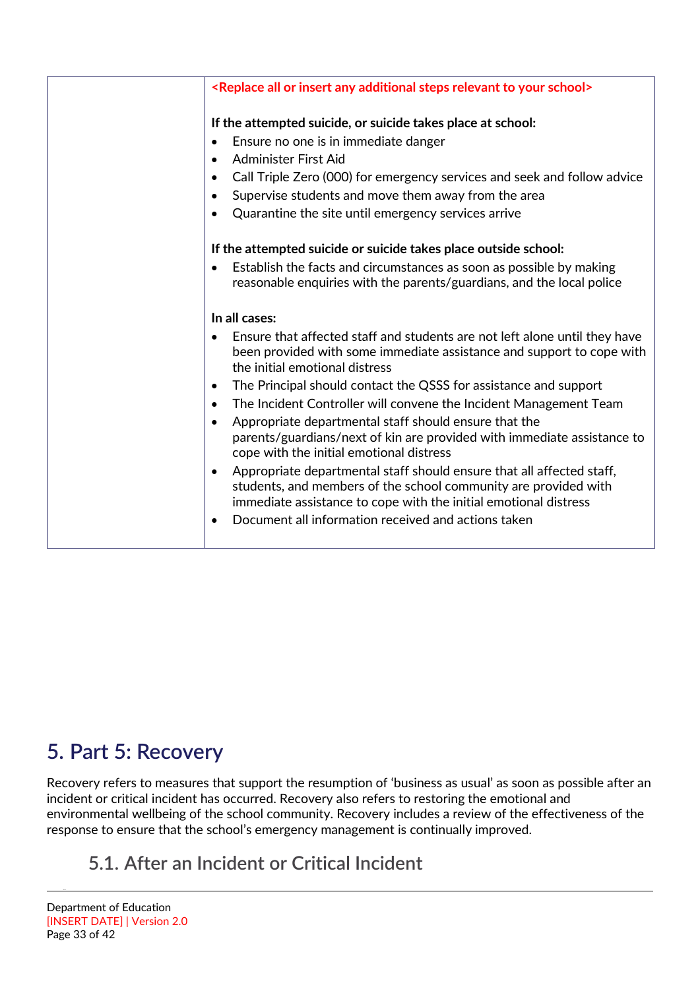|           | <replace additional="" all="" any="" insert="" or="" relevant="" school="" steps="" to="" your=""></replace>                                                                                                 |
|-----------|--------------------------------------------------------------------------------------------------------------------------------------------------------------------------------------------------------------|
|           | If the attempted suicide, or suicide takes place at school:                                                                                                                                                  |
| $\bullet$ | Ensure no one is in immediate danger                                                                                                                                                                         |
| $\bullet$ | Administer First Aid                                                                                                                                                                                         |
| $\bullet$ | Call Triple Zero (000) for emergency services and seek and follow advice                                                                                                                                     |
| $\bullet$ | Supervise students and move them away from the area                                                                                                                                                          |
| $\bullet$ | Quarantine the site until emergency services arrive                                                                                                                                                          |
|           | If the attempted suicide or suicide takes place outside school:                                                                                                                                              |
|           | Establish the facts and circumstances as soon as possible by making<br>reasonable enquiries with the parents/guardians, and the local police                                                                 |
|           | In all cases:                                                                                                                                                                                                |
|           | Ensure that affected staff and students are not left alone until they have<br>been provided with some immediate assistance and support to cope with<br>the initial emotional distress                        |
| $\bullet$ | The Principal should contact the QSSS for assistance and support                                                                                                                                             |
| $\bullet$ | The Incident Controller will convene the Incident Management Team                                                                                                                                            |
|           | Appropriate departmental staff should ensure that the<br>parents/guardians/next of kin are provided with immediate assistance to<br>cope with the initial emotional distress                                 |
| $\bullet$ | Appropriate departmental staff should ensure that all affected staff,<br>students, and members of the school community are provided with<br>immediate assistance to cope with the initial emotional distress |
| $\bullet$ | Document all information received and actions taken                                                                                                                                                          |

# <span id="page-32-0"></span>**5. Part 5: Recovery**

Recovery refers to measures that support the resumption of 'business as usual' as soon as possible after an incident or critical incident has occurred. Recovery also refers to restoring the emotional and environmental wellbeing of the school community. Recovery includes a review of the effectiveness of the response to ensure that the school's emergency management is continually improved.

# <span id="page-32-1"></span>**5.1. After an Incident or Critical Incident**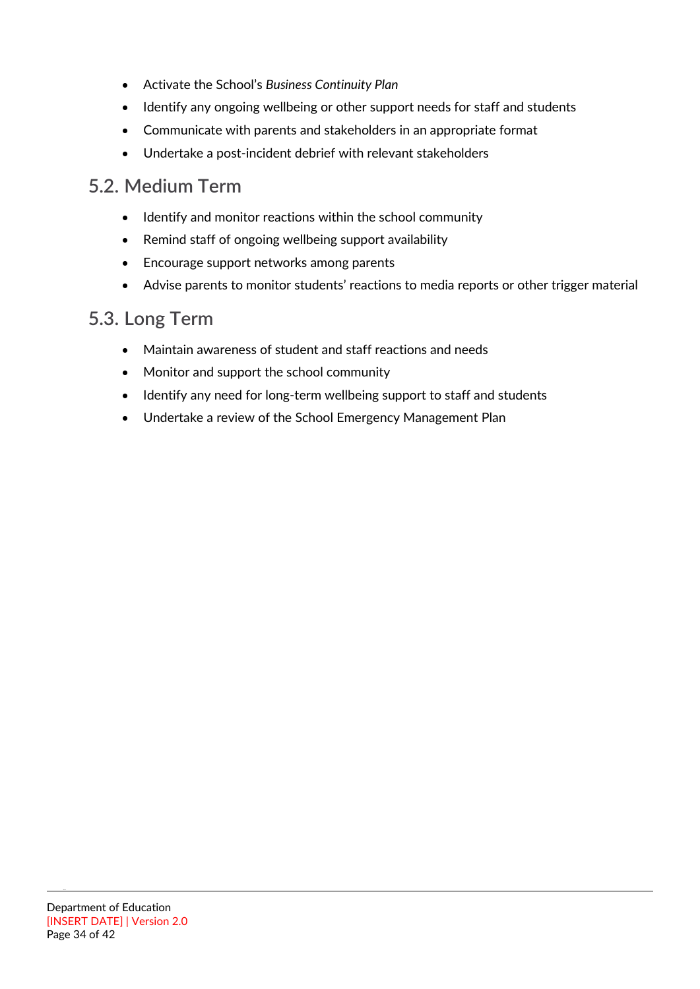- Activate the School's *Business Continuity Plan*
- Identify any ongoing wellbeing or other support needs for staff and students
- Communicate with parents and stakeholders in an appropriate format
- Undertake a post-incident debrief with relevant stakeholders

# <span id="page-33-0"></span>**5.2. Medium Term**

- Identify and monitor reactions within the school community
- Remind staff of ongoing wellbeing support availability
- Encourage support networks among parents
- Advise parents to monitor students' reactions to media reports or other trigger material

# <span id="page-33-1"></span>**5.3. Long Term**

- Maintain awareness of student and staff reactions and needs
- Monitor and support the school community
- Identify any need for long-term wellbeing support to staff and students
- Undertake a review of the School Emergency Management Plan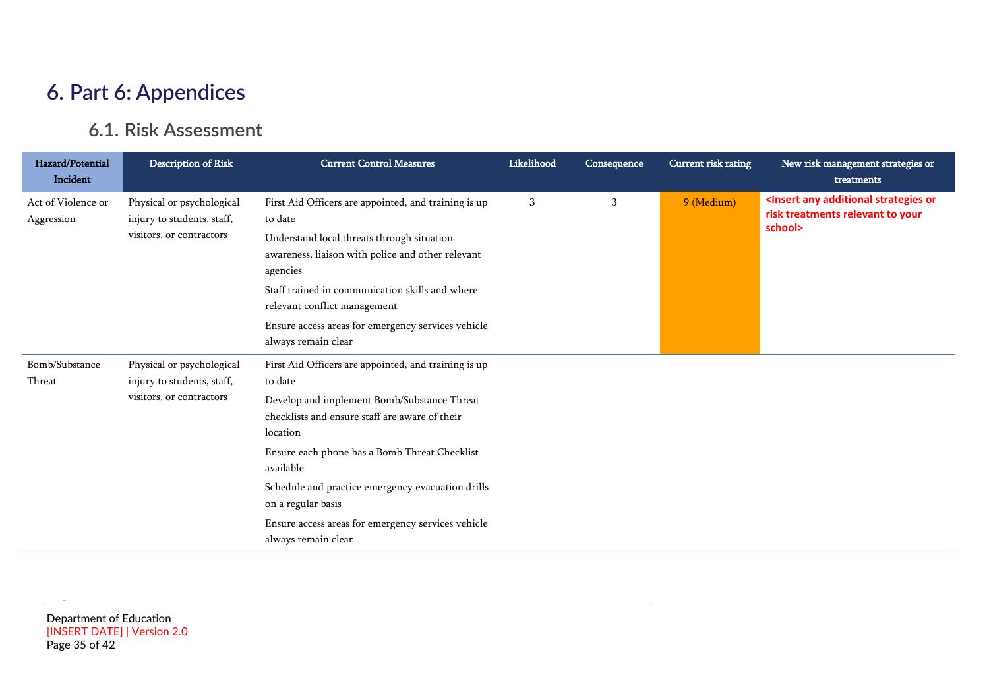# **6. Part 6: Appendices**

#### **6.1. Risk Assessment**

<span id="page-34-1"></span><span id="page-34-0"></span>

| Hazard/Potential<br>Incident     | <b>Description of Risk</b>                                                          | <b>Current Control Measures</b>                                                                                                                                                                                                                                                                                                                                                                    | Likelihood | Consequence | Current risk rating | New risk management strategies or<br>treatments                                                              |
|----------------------------------|-------------------------------------------------------------------------------------|----------------------------------------------------------------------------------------------------------------------------------------------------------------------------------------------------------------------------------------------------------------------------------------------------------------------------------------------------------------------------------------------------|------------|-------------|---------------------|--------------------------------------------------------------------------------------------------------------|
| Act of Violence or<br>Aggression | Physical or psychological<br>injury to students, staff,<br>visitors, or contractors | First Aid Officers are appointed, and training is up<br>to date<br>Understand local threats through situation<br>awareness, liaison with police and other relevant<br>agencies<br>Staff trained in communication skills and where<br>relevant conflict management<br>Ensure access areas for emergency services vehicle<br>always remain clear                                                     | 3          | 3           | 9 (Medium)          | <insert additional="" any="" or<br="" strategies="">risk treatments relevant to your<br/>school&gt;</insert> |
| Bomb/Substance<br>Threat         | Physical or psychological<br>injury to students, staff,<br>visitors, or contractors | First Aid Officers are appointed, and training is up<br>to date<br>Develop and implement Bomb/Substance Threat<br>checklists and ensure staff are aware of their<br>location<br>Ensure each phone has a Bomb Threat Checklist<br>available<br>Schedule and practice emergency evacuation drills<br>on a regular basis<br>Ensure access areas for emergency services vehicle<br>always remain clear |            |             |                     |                                                                                                              |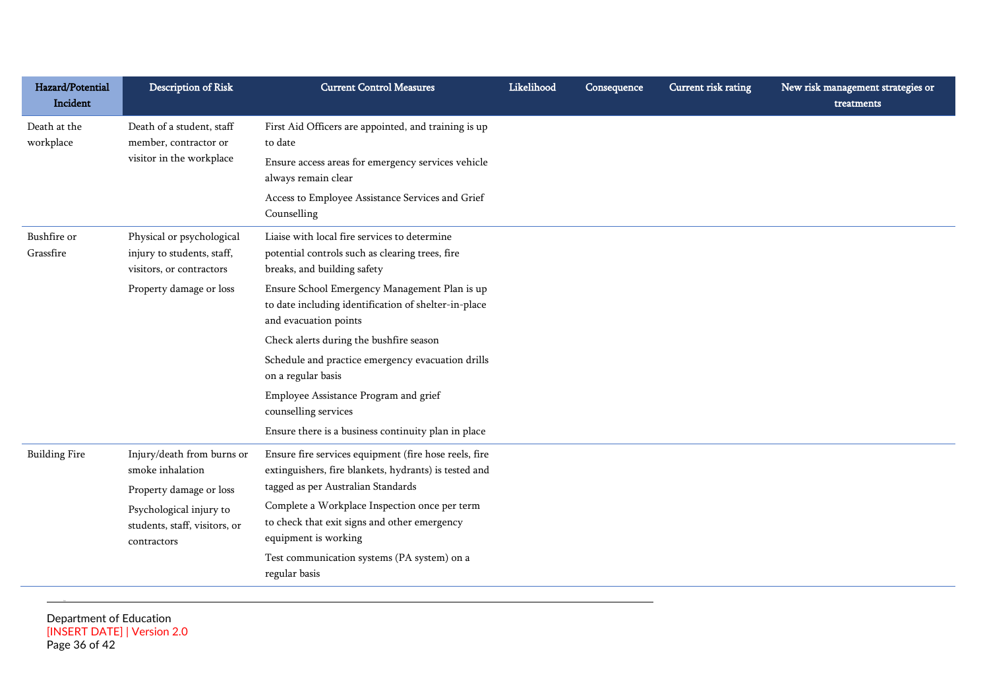| Hazard/Potential<br>Incident | <b>Description of Risk</b>                                                          | <b>Current Control Measures</b>                                                                                                                      | Likelihood | Consequence | Current risk rating | New risk management strategies or<br>treatments |
|------------------------------|-------------------------------------------------------------------------------------|------------------------------------------------------------------------------------------------------------------------------------------------------|------------|-------------|---------------------|-------------------------------------------------|
| Death at the<br>workplace    | Death of a student, staff<br>member, contractor or                                  | First Aid Officers are appointed, and training is up<br>to date                                                                                      |            |             |                     |                                                 |
|                              | visitor in the workplace                                                            | Ensure access areas for emergency services vehicle<br>always remain clear                                                                            |            |             |                     |                                                 |
|                              |                                                                                     | Access to Employee Assistance Services and Grief<br>Counselling                                                                                      |            |             |                     |                                                 |
| Bushfire or<br>Grassfire     | Physical or psychological<br>injury to students, staff,<br>visitors, or contractors | Liaise with local fire services to determine<br>potential controls such as clearing trees, fire<br>breaks, and building safety                       |            |             |                     |                                                 |
|                              | Property damage or loss                                                             | Ensure School Emergency Management Plan is up<br>to date including identification of shelter-in-place<br>and evacuation points                       |            |             |                     |                                                 |
|                              |                                                                                     | Check alerts during the bushfire season                                                                                                              |            |             |                     |                                                 |
|                              |                                                                                     | Schedule and practice emergency evacuation drills<br>on a regular basis                                                                              |            |             |                     |                                                 |
|                              |                                                                                     | Employee Assistance Program and grief<br>counselling services                                                                                        |            |             |                     |                                                 |
|                              |                                                                                     | Ensure there is a business continuity plan in place                                                                                                  |            |             |                     |                                                 |
| <b>Building Fire</b>         | Injury/death from burns or<br>smoke inhalation<br>Property damage or loss           | Ensure fire services equipment (fire hose reels, fire<br>extinguishers, fire blankets, hydrants) is tested and<br>tagged as per Australian Standards |            |             |                     |                                                 |
|                              | Psychological injury to<br>students, staff, visitors, or<br>contractors             | Complete a Workplace Inspection once per term<br>to check that exit signs and other emergency<br>equipment is working                                |            |             |                     |                                                 |
|                              |                                                                                     | Test communication systems (PA system) on a<br>regular basis                                                                                         |            |             |                     |                                                 |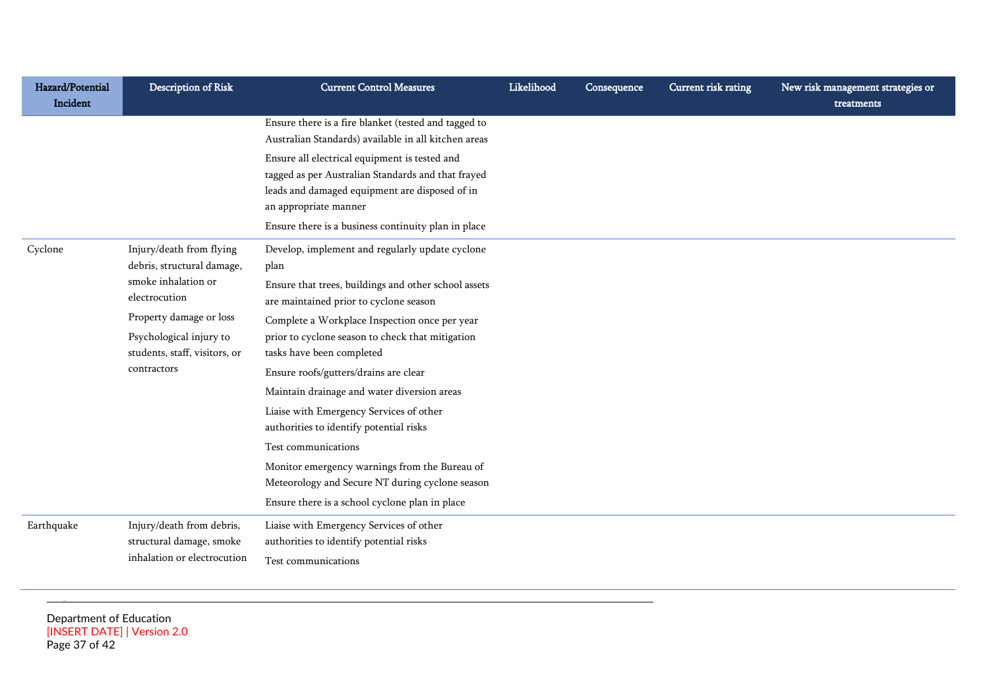| Hazard/Potential<br>Incident | <b>Description of Risk</b>                                                                                                                                                                           | <b>Current Control Measures</b>                                                                                                                                                                                                                                                                                                                         | Likelihood | Consequence | Current risk rating | New risk management strategies or<br>treatments |
|------------------------------|------------------------------------------------------------------------------------------------------------------------------------------------------------------------------------------------------|---------------------------------------------------------------------------------------------------------------------------------------------------------------------------------------------------------------------------------------------------------------------------------------------------------------------------------------------------------|------------|-------------|---------------------|-------------------------------------------------|
|                              |                                                                                                                                                                                                      | Ensure there is a fire blanket (tested and tagged to<br>Australian Standards) available in all kitchen areas<br>Ensure all electrical equipment is tested and<br>tagged as per Australian Standards and that frayed<br>leads and damaged equipment are disposed of in<br>an appropriate manner<br>Ensure there is a business continuity plan in place   |            |             |                     |                                                 |
| Cyclone                      | Injury/death from flying<br>debris, structural damage,<br>smoke inhalation or<br>electrocution<br>Property damage or loss<br>Psychological injury to<br>students, staff, visitors, or<br>contractors | Develop, implement and regularly update cyclone<br>plan<br>Ensure that trees, buildings and other school assets<br>are maintained prior to cyclone season<br>Complete a Workplace Inspection once per year<br>prior to cyclone season to check that mitigation<br>tasks have been completed                                                             |            |             |                     |                                                 |
|                              |                                                                                                                                                                                                      | Ensure roofs/gutters/drains are clear<br>Maintain drainage and water diversion areas<br>Liaise with Emergency Services of other<br>authorities to identify potential risks<br>Test communications<br>Monitor emergency warnings from the Bureau of<br>Meteorology and Secure NT during cyclone season<br>Ensure there is a school cyclone plan in place |            |             |                     |                                                 |
| Earthquake                   | Injury/death from debris,<br>structural damage, smoke<br>inhalation or electrocution                                                                                                                 | Liaise with Emergency Services of other<br>authorities to identify potential risks<br>Test communications                                                                                                                                                                                                                                               |            |             |                     |                                                 |

Department of Education [INSERT DATE] | Version 2.0 Page 37 of 42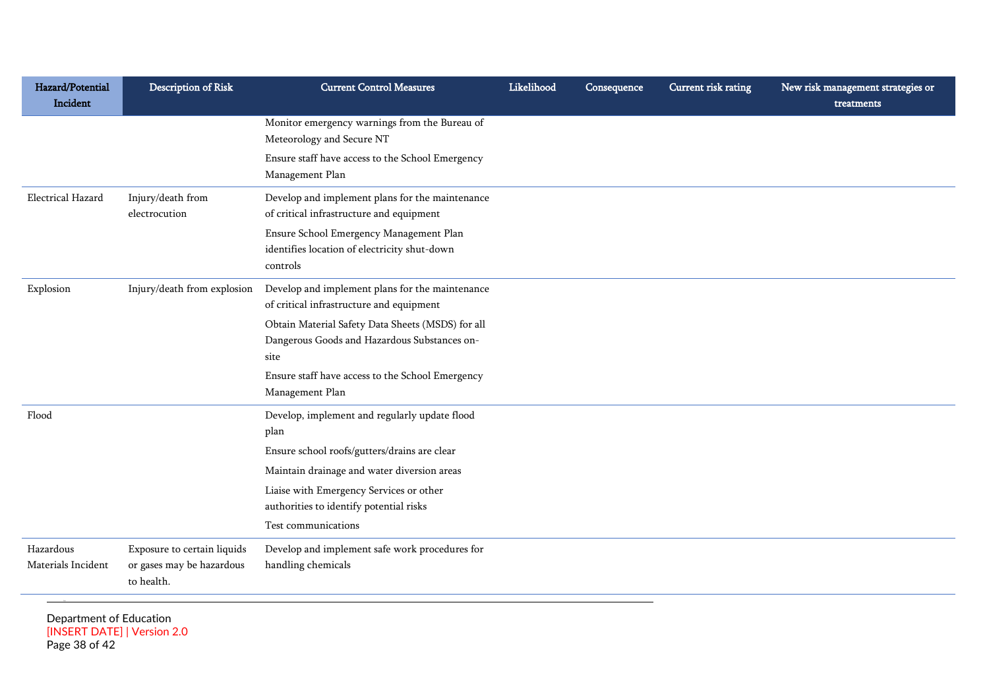| Hazard/Potential<br>Incident    | Description of Risk                                                    | <b>Current Control Measures</b>                                                                     | Likelihood | Consequence | Current risk rating | New risk management strategies or<br>treatments |
|---------------------------------|------------------------------------------------------------------------|-----------------------------------------------------------------------------------------------------|------------|-------------|---------------------|-------------------------------------------------|
|                                 |                                                                        | Monitor emergency warnings from the Bureau of<br>Meteorology and Secure NT                          |            |             |                     |                                                 |
|                                 |                                                                        | Ensure staff have access to the School Emergency<br>Management Plan                                 |            |             |                     |                                                 |
| Electrical Hazard               | Injury/death from<br>electrocution                                     | Develop and implement plans for the maintenance<br>of critical infrastructure and equipment         |            |             |                     |                                                 |
|                                 |                                                                        | Ensure School Emergency Management Plan<br>identifies location of electricity shut-down<br>controls |            |             |                     |                                                 |
| Explosion                       | Injury/death from explosion                                            | Develop and implement plans for the maintenance<br>of critical infrastructure and equipment         |            |             |                     |                                                 |
|                                 |                                                                        | Obtain Material Safety Data Sheets (MSDS) for all                                                   |            |             |                     |                                                 |
|                                 |                                                                        | Dangerous Goods and Hazardous Substances on-<br>site                                                |            |             |                     |                                                 |
|                                 |                                                                        | Ensure staff have access to the School Emergency<br>Management Plan                                 |            |             |                     |                                                 |
| Flood                           |                                                                        | Develop, implement and regularly update flood<br>plan                                               |            |             |                     |                                                 |
|                                 |                                                                        | Ensure school roofs/gutters/drains are clear                                                        |            |             |                     |                                                 |
|                                 |                                                                        | Maintain drainage and water diversion areas                                                         |            |             |                     |                                                 |
|                                 |                                                                        | Liaise with Emergency Services or other<br>authorities to identify potential risks                  |            |             |                     |                                                 |
|                                 |                                                                        | Test communications                                                                                 |            |             |                     |                                                 |
| Hazardous<br>Materials Incident | Exposure to certain liquids<br>or gases may be hazardous<br>to health. | Develop and implement safe work procedures for<br>handling chemicals                                |            |             |                     |                                                 |

Department of Education [INSERT DATE] | Version 2.0 Page 38 of 42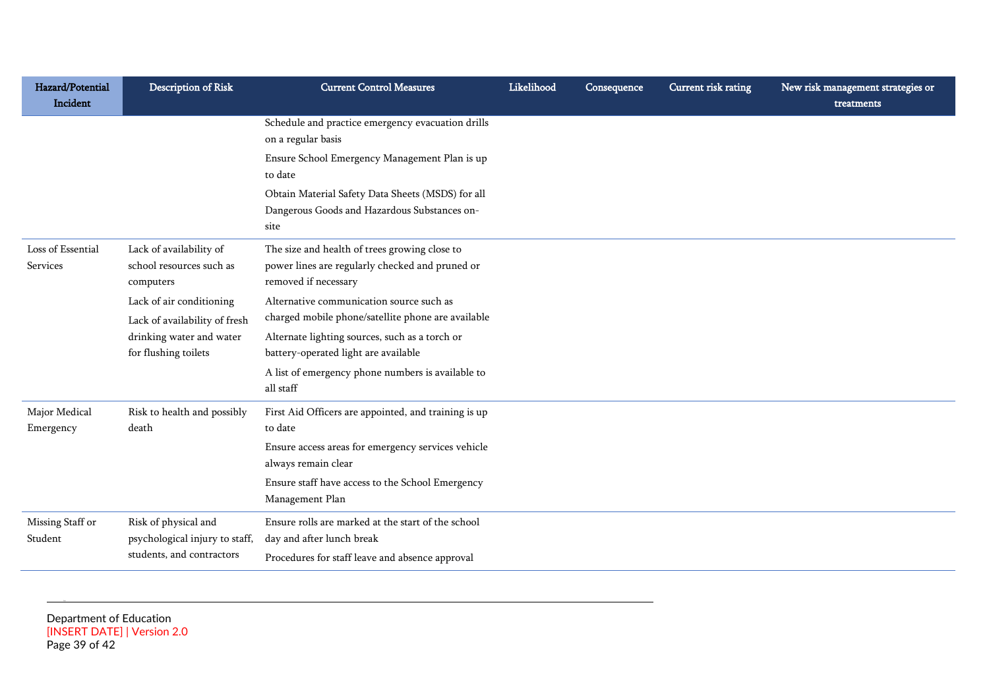| Hazard/Potential<br>Incident  | <b>Description of Risk</b>                                       | <b>Current Control Measures</b>                                                                                          | Likelihood | Consequence | <b>Current risk rating</b> | New risk management strategies or<br>treatments |
|-------------------------------|------------------------------------------------------------------|--------------------------------------------------------------------------------------------------------------------------|------------|-------------|----------------------------|-------------------------------------------------|
|                               |                                                                  | Schedule and practice emergency evacuation drills<br>on a regular basis                                                  |            |             |                            |                                                 |
|                               |                                                                  | Ensure School Emergency Management Plan is up<br>to date                                                                 |            |             |                            |                                                 |
|                               |                                                                  | Obtain Material Safety Data Sheets (MSDS) for all<br>Dangerous Goods and Hazardous Substances on-<br>site                |            |             |                            |                                                 |
| Loss of Essential<br>Services | Lack of availability of<br>school resources such as<br>computers | The size and health of trees growing close to<br>power lines are regularly checked and pruned or<br>removed if necessary |            |             |                            |                                                 |
|                               | Lack of air conditioning                                         | Alternative communication source such as                                                                                 |            |             |                            |                                                 |
|                               | Lack of availability of fresh<br>drinking water and water        | charged mobile phone/satellite phone are available<br>Alternate lighting sources, such as a torch or                     |            |             |                            |                                                 |
|                               | for flushing toilets                                             | battery-operated light are available                                                                                     |            |             |                            |                                                 |
|                               |                                                                  | A list of emergency phone numbers is available to<br>all staff                                                           |            |             |                            |                                                 |
| Major Medical<br>Emergency    | Risk to health and possibly<br>death                             | First Aid Officers are appointed, and training is up<br>to date                                                          |            |             |                            |                                                 |
|                               |                                                                  | Ensure access areas for emergency services vehicle<br>always remain clear                                                |            |             |                            |                                                 |
|                               |                                                                  | Ensure staff have access to the School Emergency<br>Management Plan                                                      |            |             |                            |                                                 |
| Missing Staff or<br>Student   | Risk of physical and                                             | Ensure rolls are marked at the start of the school<br>day and after lunch break                                          |            |             |                            |                                                 |
|                               | psychological injury to staff,<br>students, and contractors      | Procedures for staff leave and absence approval                                                                          |            |             |                            |                                                 |

Department of Education [INSERT DATE] | Version 2.0 Page 39 of 42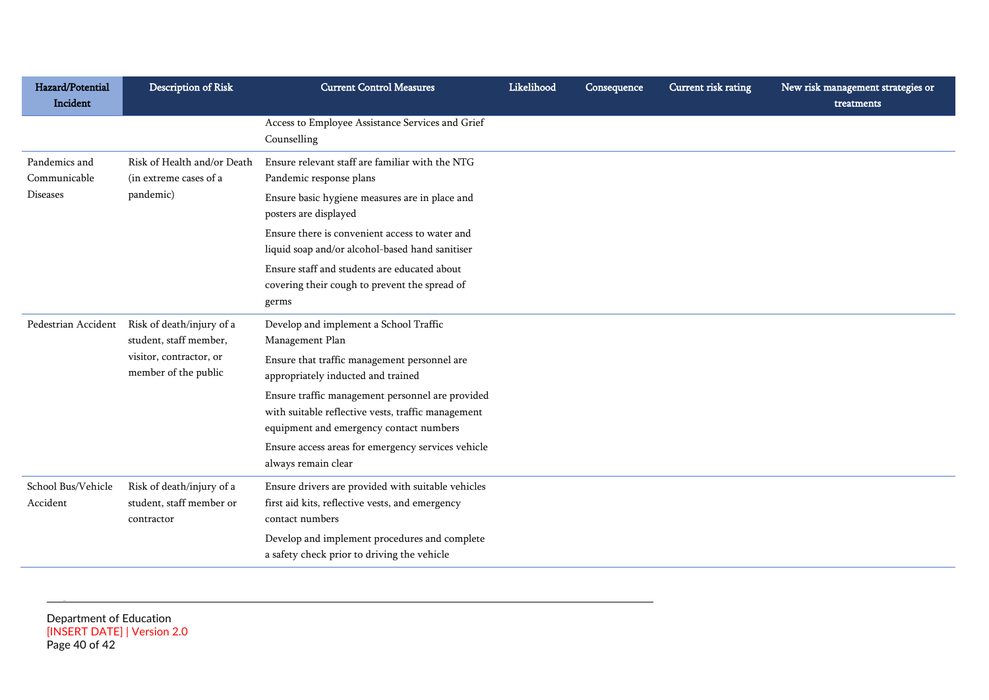| Hazard/Potential<br>Incident   | <b>Description of Risk</b>                                                                             | <b>Current Control Measures</b>                                                                                                                   | Likelihood | Consequence | <b>Current risk rating</b> | New risk management strategies or<br>treatments |
|--------------------------------|--------------------------------------------------------------------------------------------------------|---------------------------------------------------------------------------------------------------------------------------------------------------|------------|-------------|----------------------------|-------------------------------------------------|
|                                |                                                                                                        | Access to Employee Assistance Services and Grief<br>Counselling                                                                                   |            |             |                            |                                                 |
| Pandemics and<br>Communicable  | Risk of Health and/or Death<br>(in extreme cases of a                                                  | Ensure relevant staff are familiar with the NTG<br>Pandemic response plans                                                                        |            |             |                            |                                                 |
| <b>Diseases</b>                | pandemic)                                                                                              | Ensure basic hygiene measures are in place and<br>posters are displayed                                                                           |            |             |                            |                                                 |
|                                |                                                                                                        | Ensure there is convenient access to water and<br>liquid soap and/or alcohol-based hand sanitiser                                                 |            |             |                            |                                                 |
|                                |                                                                                                        | Ensure staff and students are educated about<br>covering their cough to prevent the spread of                                                     |            |             |                            |                                                 |
|                                |                                                                                                        | germs                                                                                                                                             |            |             |                            |                                                 |
| Pedestrian Accident            | Risk of death/injury of a<br>student, staff member,<br>visitor, contractor, or<br>member of the public | Develop and implement a School Traffic<br>Management Plan                                                                                         |            |             |                            |                                                 |
|                                |                                                                                                        | Ensure that traffic management personnel are<br>appropriately inducted and trained                                                                |            |             |                            |                                                 |
|                                |                                                                                                        | Ensure traffic management personnel are provided<br>with suitable reflective vests, traffic management<br>equipment and emergency contact numbers |            |             |                            |                                                 |
|                                |                                                                                                        | Ensure access areas for emergency services vehicle<br>always remain clear                                                                         |            |             |                            |                                                 |
| School Bus/Vehicle<br>Accident | Risk of death/injury of a<br>student, staff member or<br>contractor                                    | Ensure drivers are provided with suitable vehicles<br>first aid kits, reflective vests, and emergency<br>contact numbers                          |            |             |                            |                                                 |
|                                |                                                                                                        | Develop and implement procedures and complete<br>a safety check prior to driving the vehicle                                                      |            |             |                            |                                                 |

Department of Education [INSERT DATE] | Version 2.0 Page 40 of 42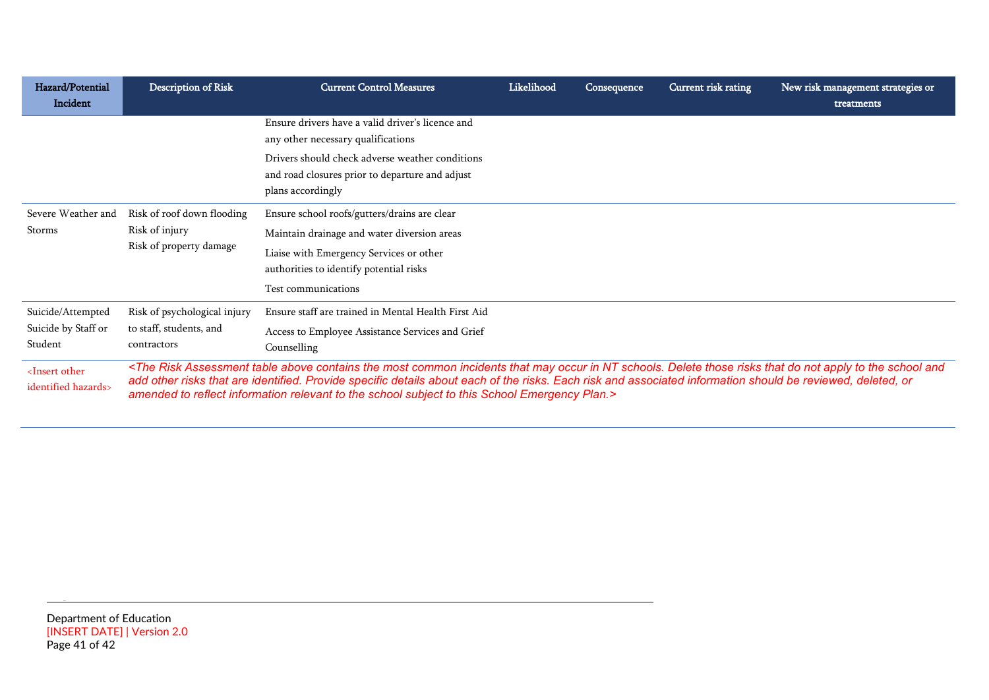| Hazard/Potential<br>Incident                        | <b>Description of Risk</b>                                              | <b>Current Control Measures</b>                                                                                                                                                                                                                                                                                                                                                                                                                                                                   | Likelihood | Consequence | Current risk rating | New risk management strategies or<br>treatments |
|-----------------------------------------------------|-------------------------------------------------------------------------|---------------------------------------------------------------------------------------------------------------------------------------------------------------------------------------------------------------------------------------------------------------------------------------------------------------------------------------------------------------------------------------------------------------------------------------------------------------------------------------------------|------------|-------------|---------------------|-------------------------------------------------|
|                                                     |                                                                         | Ensure drivers have a valid driver's licence and<br>any other necessary qualifications                                                                                                                                                                                                                                                                                                                                                                                                            |            |             |                     |                                                 |
|                                                     |                                                                         | Drivers should check adverse weather conditions<br>and road closures prior to departure and adjust<br>plans accordingly                                                                                                                                                                                                                                                                                                                                                                           |            |             |                     |                                                 |
| Severe Weather and<br>Storms                        | Risk of roof down flooding<br>Risk of injury<br>Risk of property damage | Ensure school roofs/gutters/drains are clear<br>Maintain drainage and water diversion areas<br>Liaise with Emergency Services or other<br>authorities to identify potential risks<br>Test communications                                                                                                                                                                                                                                                                                          |            |             |                     |                                                 |
| Suicide/Attempted<br>Suicide by Staff or<br>Student | Risk of psychological injury<br>to staff, students, and<br>contractors  | Ensure staff are trained in Mental Health First Aid<br>Access to Employee Assistance Services and Grief<br>Counselling                                                                                                                                                                                                                                                                                                                                                                            |            |             |                     |                                                 |
| $\epsilon$ Insert other<br>identified hazards>      |                                                                         | <the above="" and<br="" apply="" assessment="" common="" contains="" delete="" do="" in="" incidents="" may="" most="" not="" nt="" occur="" risk="" risks="" school="" schools.="" table="" that="" the="" those="" to="">add other risks that are identified. Provide specific details about each of the risks. Each risk and associated information should be reviewed, deleted, or<br/>amended to reflect information relevant to the school subject to this School Emergency Plan.&gt;</the> |            |             |                     |                                                 |